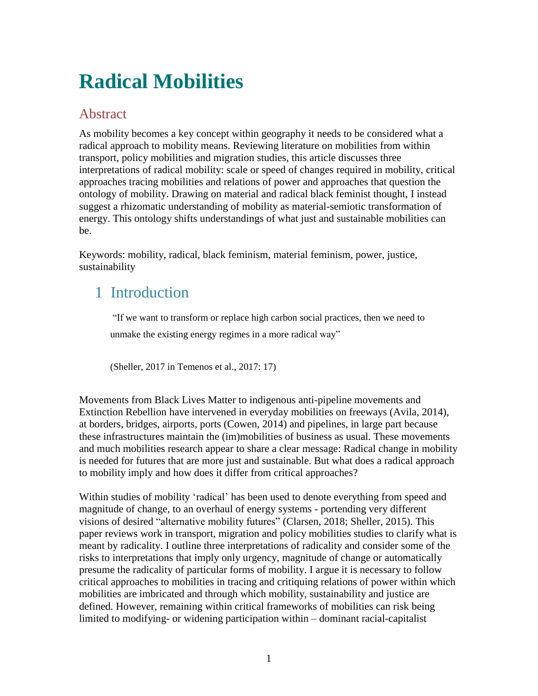# **Radical Mobilities**

### Abstract

As mobility becomes a key concept within geography it needs to be considered what a radical approach to mobility means. Reviewing literature on mobilities from within transport, policy mobilities and migration studies, this article discusses three interpretations of radical mobility: scale or speed of changes required in mobility, critical approaches tracing mobilities and relations of power and approaches that question the ontology of mobility. Drawing on material and radical black feminist thought, I instead suggest a rhizomatic understanding of mobility as material-semiotic transformation of energy. This ontology shifts understandings of what just and sustainable mobilities can be.

Keywords: mobility, radical, black feminism, material feminism, power, justice, sustainability

# 1 Introduction

"If we want to transform or replace high carbon social practices, then we need to unmake the existing energy regimes in a more radical way"

(Sheller, 2017 in Temenos et al., 2017: 17)

Movements from Black Lives Matter to indigenous anti-pipeline movements and Extinction Rebellion have intervened in everyday mobilities on freeways (Avila, 2014), at borders, bridges, airports, ports (Cowen, 2014) and pipelines, in large part because these infrastructures maintain the (im)mobilities of business as usual. These movements and much mobilities research appear to share a clear message: Radical change in mobility is needed for futures that are more just and sustainable. But what does a radical approach to mobility imply and how does it differ from critical approaches?

Within studies of mobility 'radical' has been used to denote everything from speed and magnitude of change, to an overhaul of energy systems - portending very different visions of desired "alternative mobility futures" (Clarsen, 2018; Sheller, 2015). This paper reviews work in transport, migration and policy mobilities studies to clarify what is meant by radicality. I outline three interpretations of radicality and consider some of the risks to interpretations that imply only urgency, magnitude of change or automatically presume the radicality of particular forms of mobility. I argue it is necessary to follow critical approaches to mobilities in tracing and critiquing relations of power within which mobilities are imbricated and through which mobility, sustainability and justice are defined. However, remaining within critical frameworks of mobilities can risk being limited to modifying- or widening participation within – dominant racial-capitalist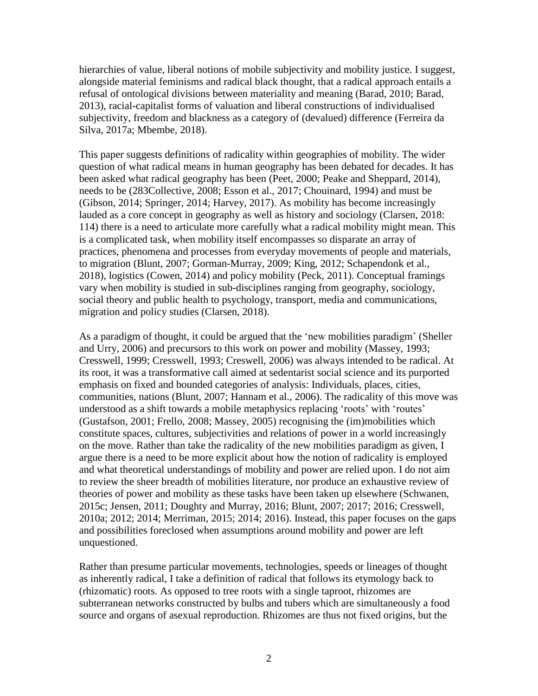hierarchies of value, liberal notions of mobile subjectivity and mobility justice. I suggest, alongside material feminisms and radical black thought, that a radical approach entails a refusal of ontological divisions between materiality and meaning (Barad, 2010; Barad, 2013), racial-capitalist forms of valuation and liberal constructions of individualised subjectivity, freedom and blackness as a category of (devalued) difference (Ferreira da Silva, 2017a; Mbembe, 2018).

This paper suggests definitions of radicality within geographies of mobility. The wider question of what radical means in human geography has been debated for decades. It has been asked what radical geography has been (Peet, 2000; Peake and Sheppard, 2014), needs to be (283Collective, 2008; Esson et al., 2017; Chouinard, 1994) and must be (Gibson, 2014; Springer, 2014; Harvey, 2017). As mobility has become increasingly lauded as a core concept in geography as well as history and sociology (Clarsen, 2018: 114) there is a need to articulate more carefully what a radical mobility might mean. This is a complicated task, when mobility itself encompasses so disparate an array of practices, phenomena and processes from everyday movements of people and materials, to migration (Blunt, 2007; Gorman-Murray, 2009; King, 2012; Schapendonk et al., 2018), logistics (Cowen, 2014) and policy mobility (Peck, 2011). Conceptual framings vary when mobility is studied in sub-disciplines ranging from geography, sociology, social theory and public health to psychology, transport, media and communications, migration and policy studies (Clarsen, 2018).

As a paradigm of thought, it could be argued that the 'new mobilities paradigm' (Sheller and Urry, 2006) and precursors to this work on power and mobility (Massey, 1993; Cresswell, 1999; Cresswell, 1993; Creswell, 2006) was always intended to be radical. At its root, it was a transformative call aimed at sedentarist social science and its purported emphasis on fixed and bounded categories of analysis: Individuals, places, cities, communities, nations (Blunt, 2007; Hannam et al., 2006). The radicality of this move was understood as a shift towards a mobile metaphysics replacing 'roots' with 'routes' (Gustafson, 2001; Frello, 2008; Massey, 2005) recognising the (im)mobilities which constitute spaces, cultures, subjectivities and relations of power in a world increasingly on the move. Rather than take the radicality of the new mobilities paradigm as given, I argue there is a need to be more explicit about how the notion of radicality is employed and what theoretical understandings of mobility and power are relied upon. I do not aim to review the sheer breadth of mobilities literature, nor produce an exhaustive review of theories of power and mobility as these tasks have been taken up elsewhere (Schwanen, 2015c; Jensen, 2011; Doughty and Murray, 2016; Blunt, 2007; 2017; 2016; Cresswell, 2010a; 2012; 2014; Merriman, 2015; 2014; 2016). Instead, this paper focuses on the gaps and possibilities foreclosed when assumptions around mobility and power are left unquestioned.

Rather than presume particular movements, technologies, speeds or lineages of thought as inherently radical, I take a definition of radical that follows its etymology back to (rhizomatic) roots. As opposed to tree roots with a single taproot, rhizomes are subterranean networks constructed by bulbs and tubers which are simultaneously a food source and organs of asexual reproduction. Rhizomes are thus not fixed origins, but the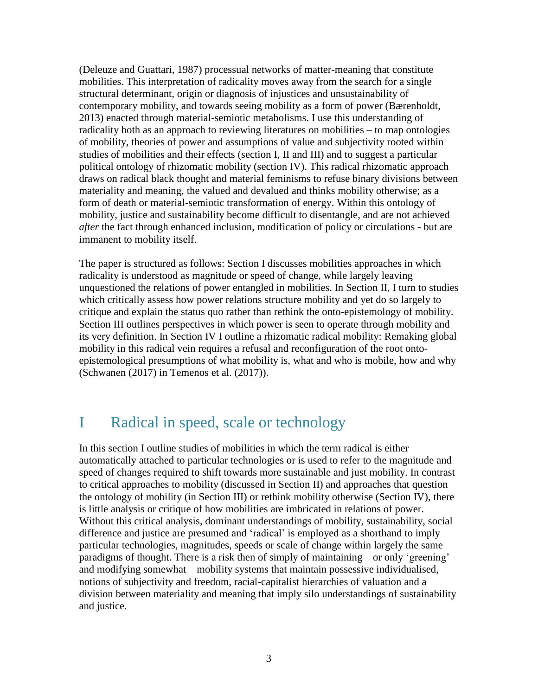(Deleuze and Guattari, 1987) processual networks of matter-meaning that constitute mobilities. This interpretation of radicality moves away from the search for a single structural determinant, origin or diagnosis of injustices and unsustainability of contemporary mobility, and towards seeing mobility as a form of power (Bærenholdt, 2013) enacted through material-semiotic metabolisms. I use this understanding of radicality both as an approach to reviewing literatures on mobilities – to map ontologies of mobility, theories of power and assumptions of value and subjectivity rooted within studies of mobilities and their effects (section I, II and III) and to suggest a particular political ontology of rhizomatic mobility (section IV). This radical rhizomatic approach draws on radical black thought and material feminisms to refuse binary divisions between materiality and meaning, the valued and devalued and thinks mobility otherwise; as a form of death or material-semiotic transformation of energy. Within this ontology of mobility, justice and sustainability become difficult to disentangle, and are not achieved *after* the fact through enhanced inclusion, modification of policy or circulations - but are immanent to mobility itself.

The paper is structured as follows: Section I discusses mobilities approaches in which radicality is understood as magnitude or speed of change, while largely leaving unquestioned the relations of power entangled in mobilities. In Section II, I turn to studies which critically assess how power relations structure mobility and yet do so largely to critique and explain the status quo rather than rethink the onto-epistemology of mobility. Section III outlines perspectives in which power is seen to operate through mobility and its very definition. In Section IV I outline a rhizomatic radical mobility: Remaking global mobility in this radical vein requires a refusal and reconfiguration of the root ontoepistemological presumptions of what mobility is, what and who is mobile, how and why (Schwanen (2017) in Temenos et al. (2017)).

## I Radical in speed, scale or technology

In this section I outline studies of mobilities in which the term radical is either automatically attached to particular technologies or is used to refer to the magnitude and speed of changes required to shift towards more sustainable and just mobility. In contrast to critical approaches to mobility (discussed in Section II) and approaches that question the ontology of mobility (in Section III) or rethink mobility otherwise (Section IV), there is little analysis or critique of how mobilities are imbricated in relations of power. Without this critical analysis, dominant understandings of mobility, sustainability, social difference and justice are presumed and 'radical' is employed as a shorthand to imply particular technologies, magnitudes, speeds or scale of change within largely the same paradigms of thought. There is a risk then of simply of maintaining – or only 'greening' and modifying somewhat – mobility systems that maintain possessive individualised, notions of subjectivity and freedom, racial-capitalist hierarchies of valuation and a division between materiality and meaning that imply silo understandings of sustainability and justice.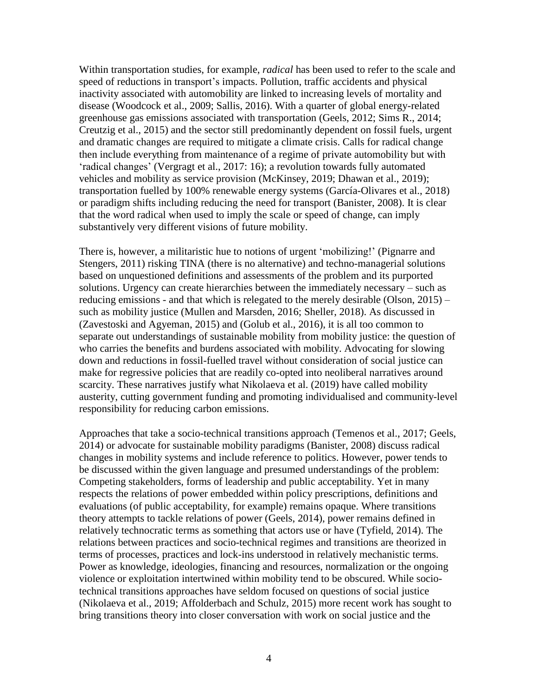Within transportation studies, for example, *radical* has been used to refer to the scale and speed of reductions in transport's impacts. Pollution, traffic accidents and physical inactivity associated with automobility are linked to increasing levels of mortality and disease (Woodcock et al., 2009; Sallis, 2016). With a quarter of global energy-related greenhouse gas emissions associated with transportation (Geels, 2012; Sims R., 2014; Creutzig et al., 2015) and the sector still predominantly dependent on fossil fuels, urgent and dramatic changes are required to mitigate a climate crisis. Calls for radical change then include everything from maintenance of a regime of private automobility but with 'radical changes' (Vergragt et al., 2017: 16); a revolution towards fully automated vehicles and mobility as service provision (McKinsey, 2019; Dhawan et al., 2019); transportation fuelled by 100% renewable energy systems (García-Olivares et al., 2018) or paradigm shifts including reducing the need for transport (Banister, 2008). It is clear that the word radical when used to imply the scale or speed of change, can imply substantively very different visions of future mobility.

There is, however, a militaristic hue to notions of urgent 'mobilizing!' (Pignarre and Stengers, 2011) risking TINA (there is no alternative) and techno-managerial solutions based on unquestioned definitions and assessments of the problem and its purported solutions. Urgency can create hierarchies between the immediately necessary – such as reducing emissions - and that which is relegated to the merely desirable (Olson, 2015) – such as mobility justice (Mullen and Marsden, 2016; Sheller, 2018). As discussed in (Zavestoski and Agyeman, 2015) and (Golub et al., 2016), it is all too common to separate out understandings of sustainable mobility from mobility justice: the question of who carries the benefits and burdens associated with mobility. Advocating for slowing down and reductions in fossil-fuelled travel without consideration of social justice can make for regressive policies that are readily co-opted into neoliberal narratives around scarcity. These narratives justify what Nikolaeva et al. (2019) have called mobility austerity, cutting government funding and promoting individualised and community-level responsibility for reducing carbon emissions.

Approaches that take a socio-technical transitions approach (Temenos et al., 2017; Geels, 2014) or advocate for sustainable mobility paradigms (Banister, 2008) discuss radical changes in mobility systems and include reference to politics. However, power tends to be discussed within the given language and presumed understandings of the problem: Competing stakeholders, forms of leadership and public acceptability. Yet in many respects the relations of power embedded within policy prescriptions, definitions and evaluations (of public acceptability, for example) remains opaque. Where transitions theory attempts to tackle relations of power (Geels, 2014), power remains defined in relatively technocratic terms as something that actors use or have (Tyfield, 2014). The relations between practices and socio-technical regimes and transitions are theorized in terms of processes, practices and lock-ins understood in relatively mechanistic terms. Power as knowledge, ideologies, financing and resources, normalization or the ongoing violence or exploitation intertwined within mobility tend to be obscured. While sociotechnical transitions approaches have seldom focused on questions of social justice (Nikolaeva et al., 2019; Affolderbach and Schulz, 2015) more recent work has sought to bring transitions theory into closer conversation with work on social justice and the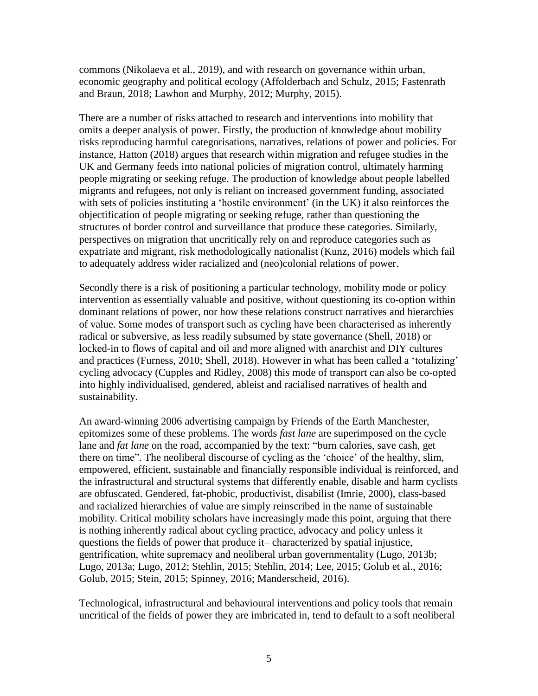commons (Nikolaeva et al., 2019), and with research on governance within urban, economic geography and political ecology (Affolderbach and Schulz, 2015; Fastenrath and Braun, 2018; Lawhon and Murphy, 2012; Murphy, 2015).

There are a number of risks attached to research and interventions into mobility that omits a deeper analysis of power. Firstly, the production of knowledge about mobility risks reproducing harmful categorisations, narratives, relations of power and policies. For instance, Hatton (2018) argues that research within migration and refugee studies in the UK and Germany feeds into national policies of migration control, ultimately harming people migrating or seeking refuge. The production of knowledge about people labelled migrants and refugees, not only is reliant on increased government funding, associated with sets of policies instituting a 'hostile environment' (in the UK) it also reinforces the objectification of people migrating or seeking refuge, rather than questioning the structures of border control and surveillance that produce these categories. Similarly, perspectives on migration that uncritically rely on and reproduce categories such as expatriate and migrant, risk methodologically nationalist (Kunz, 2016) models which fail to adequately address wider racialized and (neo)colonial relations of power.

Secondly there is a risk of positioning a particular technology, mobility mode or policy intervention as essentially valuable and positive, without questioning its co-option within dominant relations of power, nor how these relations construct narratives and hierarchies of value. Some modes of transport such as cycling have been characterised as inherently radical or subversive, as less readily subsumed by state governance (Shell, 2018) or locked-in to flows of capital and oil and more aligned with anarchist and DIY cultures and practices (Furness, 2010; Shell, 2018). However in what has been called a 'totalizing' cycling advocacy (Cupples and Ridley, 2008) this mode of transport can also be co-opted into highly individualised, gendered, ableist and racialised narratives of health and sustainability.

An award-winning 2006 advertising campaign by Friends of the Earth Manchester, epitomizes some of these problems. The words *fast lane* are superimposed on the cycle lane and *fat lane* on the road, accompanied by the text: "burn calories, save cash, get there on time". The neoliberal discourse of cycling as the 'choice' of the healthy, slim, empowered, efficient, sustainable and financially responsible individual is reinforced, and the infrastructural and structural systems that differently enable, disable and harm cyclists are obfuscated. Gendered, fat-phobic, productivist, disabilist (Imrie, 2000), class-based and racialized hierarchies of value are simply reinscribed in the name of sustainable mobility. Critical mobility scholars have increasingly made this point, arguing that there is nothing inherently radical about cycling practice, advocacy and policy unless it questions the fields of power that produce it– characterized by spatial injustice, gentrification, white supremacy and neoliberal urban governmentality (Lugo, 2013b; Lugo, 2013a; Lugo, 2012; Stehlin, 2015; Stehlin, 2014; Lee, 2015; Golub et al., 2016; Golub, 2015; Stein, 2015; Spinney, 2016; Manderscheid, 2016).

Technological, infrastructural and behavioural interventions and policy tools that remain uncritical of the fields of power they are imbricated in, tend to default to a soft neoliberal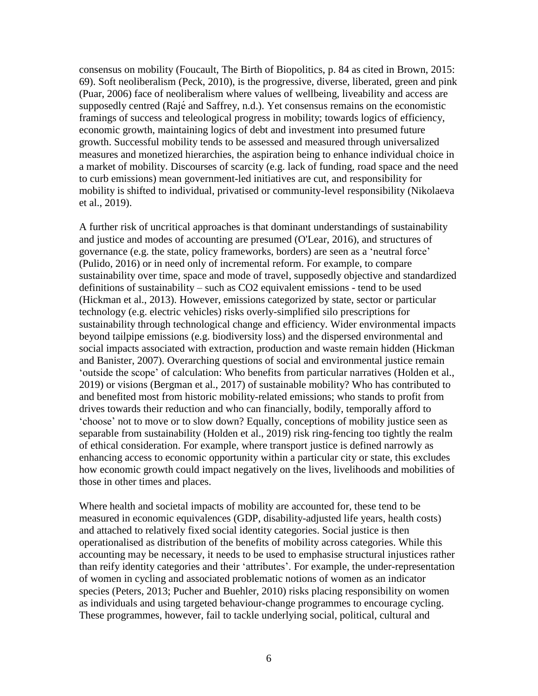consensus on mobility (Foucault, The Birth of Biopolitics, p. 84 as cited in Brown, 2015: 69). Soft neoliberalism (Peck, 2010), is the progressive, diverse, liberated, green and pink (Puar, 2006) face of neoliberalism where values of wellbeing, liveability and access are supposedly centred (Rajé and Saffrey, n.d.). Yet consensus remains on the economistic framings of success and teleological progress in mobility; towards logics of efficiency, economic growth, maintaining logics of debt and investment into presumed future growth. Successful mobility tends to be assessed and measured through universalized measures and monetized hierarchies, the aspiration being to enhance individual choice in a market of mobility. Discourses of scarcity (e.g. lack of funding, road space and the need to curb emissions) mean government-led initiatives are cut, and responsibility for mobility is shifted to individual, privatised or community-level responsibility (Nikolaeva et al., 2019).

A further risk of uncritical approaches is that dominant understandings of sustainability and justice and modes of accounting are presumed (O'Lear, 2016), and structures of governance (e.g. the state, policy frameworks, borders) are seen as a 'neutral force' (Pulido, 2016) or in need only of incremental reform. For example, to compare sustainability over time, space and mode of travel, supposedly objective and standardized definitions of sustainability – such as CO2 equivalent emissions - tend to be used (Hickman et al., 2013). However, emissions categorized by state, sector or particular technology (e.g. electric vehicles) risks overly-simplified silo prescriptions for sustainability through technological change and efficiency. Wider environmental impacts beyond tailpipe emissions (e.g. biodiversity loss) and the dispersed environmental and social impacts associated with extraction, production and waste remain hidden (Hickman and Banister, 2007). Overarching questions of social and environmental justice remain 'outside the scope' of calculation: Who benefits from particular narratives (Holden et al., 2019) or visions (Bergman et al., 2017) of sustainable mobility? Who has contributed to and benefited most from historic mobility-related emissions; who stands to profit from drives towards their reduction and who can financially, bodily, temporally afford to 'choose' not to move or to slow down? Equally, conceptions of mobility justice seen as separable from sustainability (Holden et al., 2019) risk ring-fencing too tightly the realm of ethical consideration. For example, where transport justice is defined narrowly as enhancing access to economic opportunity within a particular city or state, this excludes how economic growth could impact negatively on the lives, livelihoods and mobilities of those in other times and places.

Where health and societal impacts of mobility are accounted for, these tend to be measured in economic equivalences (GDP, disability-adjusted life years, health costs) and attached to relatively fixed social identity categories. Social justice is then operationalised as distribution of the benefits of mobility across categories. While this accounting may be necessary, it needs to be used to emphasise structural injustices rather than reify identity categories and their 'attributes'. For example, the under-representation of women in cycling and associated problematic notions of women as an indicator species (Peters, 2013; Pucher and Buehler, 2010) risks placing responsibility on women as individuals and using targeted behaviour-change programmes to encourage cycling. These programmes, however, fail to tackle underlying social, political, cultural and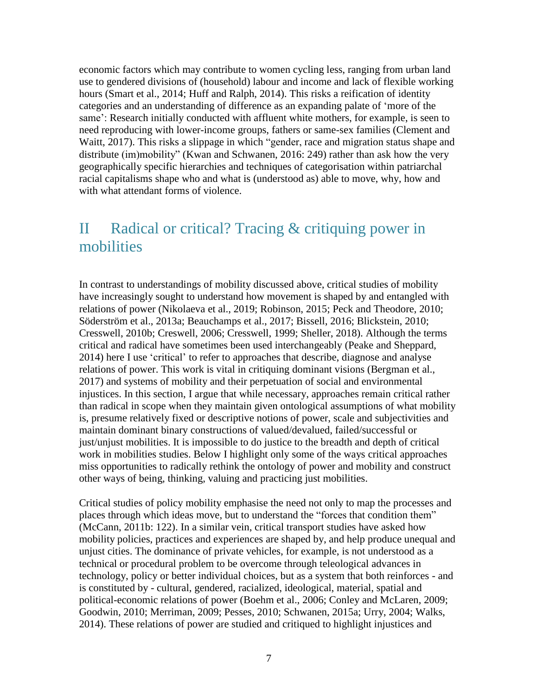economic factors which may contribute to women cycling less, ranging from urban land use to gendered divisions of (household) labour and income and lack of flexible working hours (Smart et al., 2014; Huff and Ralph, 2014). This risks a reification of identity categories and an understanding of difference as an expanding palate of 'more of the same': Research initially conducted with affluent white mothers, for example, is seen to need reproducing with lower-income groups, fathers or same-sex families (Clement and Waitt, 2017). This risks a slippage in which "gender, race and migration status shape and distribute (im)mobility" (Kwan and Schwanen, 2016: 249) rather than ask how the very geographically specific hierarchies and techniques of categorisation within patriarchal racial capitalisms shape who and what is (understood as) able to move, why, how and with what attendant forms of violence.

## II Radical or critical? Tracing & critiquing power in mobilities

In contrast to understandings of mobility discussed above, critical studies of mobility have increasingly sought to understand how movement is shaped by and entangled with relations of power (Nikolaeva et al., 2019; Robinson, 2015; Peck and Theodore, 2010; Söderström et al., 2013a; Beauchamps et al., 2017; Bissell, 2016; Blickstein, 2010; Cresswell, 2010b; Creswell, 2006; Cresswell, 1999; Sheller, 2018). Although the terms critical and radical have sometimes been used interchangeably (Peake and Sheppard, 2014) here I use 'critical' to refer to approaches that describe, diagnose and analyse relations of power. This work is vital in critiquing dominant visions (Bergman et al., 2017) and systems of mobility and their perpetuation of social and environmental injustices. In this section, I argue that while necessary, approaches remain critical rather than radical in scope when they maintain given ontological assumptions of what mobility is, presume relatively fixed or descriptive notions of power, scale and subjectivities and maintain dominant binary constructions of valued/devalued, failed/successful or just/unjust mobilities. It is impossible to do justice to the breadth and depth of critical work in mobilities studies. Below I highlight only some of the ways critical approaches miss opportunities to radically rethink the ontology of power and mobility and construct other ways of being, thinking, valuing and practicing just mobilities.

Critical studies of policy mobility emphasise the need not only to map the processes and places through which ideas move, but to understand the "forces that condition them" (McCann, 2011b: 122). In a similar vein, critical transport studies have asked how mobility policies, practices and experiences are shaped by, and help produce unequal and unjust cities. The dominance of private vehicles, for example, is not understood as a technical or procedural problem to be overcome through teleological advances in technology, policy or better individual choices, but as a system that both reinforces - and is constituted by - cultural, gendered, racialized, ideological, material, spatial and political-economic relations of power (Boehm et al., 2006; Conley and McLaren, 2009; Goodwin, 2010; Merriman, 2009; Pesses, 2010; Schwanen, 2015a; Urry, 2004; Walks, 2014). These relations of power are studied and critiqued to highlight injustices and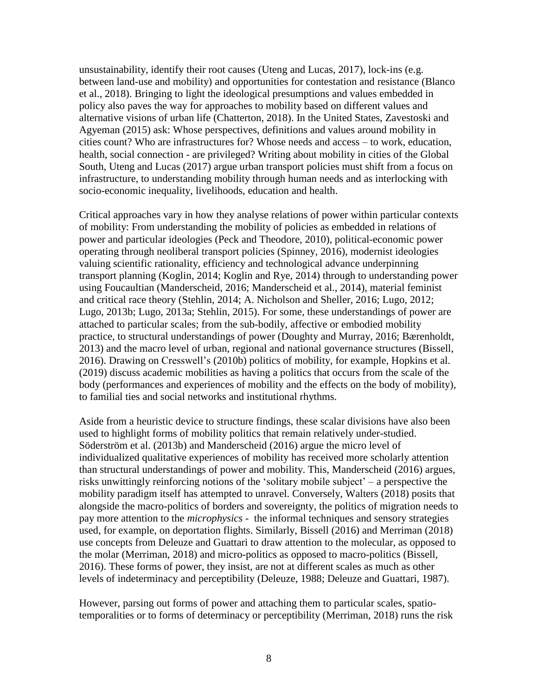unsustainability, identify their root causes (Uteng and Lucas, 2017), lock-ins (e.g. between land-use and mobility) and opportunities for contestation and resistance (Blanco et al., 2018). Bringing to light the ideological presumptions and values embedded in policy also paves the way for approaches to mobility based on different values and alternative visions of urban life (Chatterton, 2018). In the United States, Zavestoski and Agyeman (2015) ask: Whose perspectives, definitions and values around mobility in cities count? Who are infrastructures for? Whose needs and access – to work, education, health, social connection - are privileged? Writing about mobility in cities of the Global South, Uteng and Lucas (2017) argue urban transport policies must shift from a focus on infrastructure, to understanding mobility through human needs and as interlocking with socio-economic inequality, livelihoods, education and health.

Critical approaches vary in how they analyse relations of power within particular contexts of mobility: From understanding the mobility of policies as embedded in relations of power and particular ideologies (Peck and Theodore, 2010), political-economic power operating through neoliberal transport policies (Spinney, 2016), modernist ideologies valuing scientific rationality, efficiency and technological advance underpinning transport planning (Koglin, 2014; Koglin and Rye, 2014) through to understanding power using Foucaultian (Manderscheid, 2016; Manderscheid et al., 2014), material feminist and critical race theory (Stehlin, 2014; A. Nicholson and Sheller, 2016; Lugo, 2012; Lugo, 2013b; Lugo, 2013a; Stehlin, 2015). For some, these understandings of power are attached to particular scales; from the sub-bodily, affective or embodied mobility practice, to structural understandings of power (Doughty and Murray, 2016; Bærenholdt, 2013) and the macro level of urban, regional and national governance structures (Bissell, 2016). Drawing on Cresswell's (2010b) politics of mobility, for example, Hopkins et al. (2019) discuss academic mobilities as having a politics that occurs from the scale of the body (performances and experiences of mobility and the effects on the body of mobility), to familial ties and social networks and institutional rhythms.

Aside from a heuristic device to structure findings, these scalar divisions have also been used to highlight forms of mobility politics that remain relatively under-studied. Söderström et al. (2013b) and Manderscheid (2016) argue the micro level of individualized qualitative experiences of mobility has received more scholarly attention than structural understandings of power and mobility. This, Manderscheid (2016) argues, risks unwittingly reinforcing notions of the 'solitary mobile subject' – a perspective the mobility paradigm itself has attempted to unravel. Conversely, Walters (2018) posits that alongside the macro-politics of borders and sovereignty, the politics of migration needs to pay more attention to the *microphysics* - the informal techniques and sensory strategies used, for example, on deportation flights. Similarly, Bissell (2016) and Merriman (2018) use concepts from Deleuze and Guattari to draw attention to the molecular, as opposed to the molar (Merriman, 2018) and micro-politics as opposed to macro-politics (Bissell, 2016). These forms of power, they insist, are not at different scales as much as other levels of indeterminacy and perceptibility (Deleuze, 1988; Deleuze and Guattari, 1987).

However, parsing out forms of power and attaching them to particular scales, spatiotemporalities or to forms of determinacy or perceptibility (Merriman, 2018) runs the risk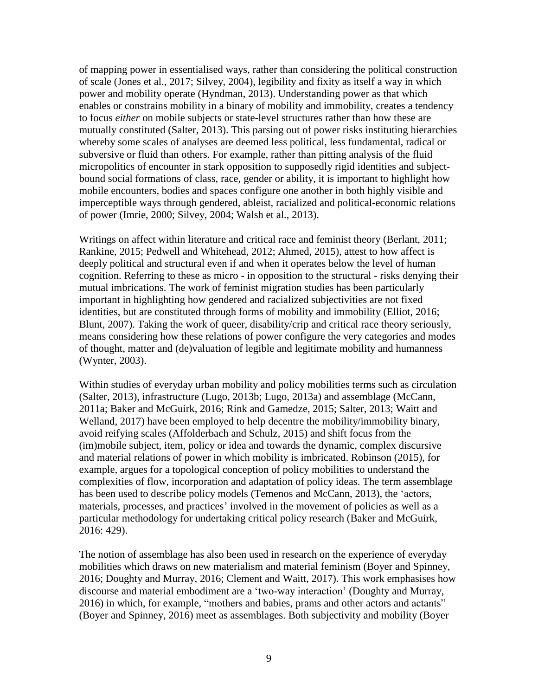of mapping power in essentialised ways, rather than considering the political construction of scale (Jones et al., 2017; Silvey, 2004), legibility and fixity as itself a way in which power and mobility operate (Hyndman, 2013). Understanding power as that which enables or constrains mobility in a binary of mobility and immobility, creates a tendency to focus *either* on mobile subjects or state-level structures rather than how these are mutually constituted (Salter, 2013). This parsing out of power risks instituting hierarchies whereby some scales of analyses are deemed less political, less fundamental, radical or subversive or fluid than others. For example, rather than pitting analysis of the fluid micropolitics of encounter in stark opposition to supposedly rigid identities and subjectbound social formations of class, race, gender or ability, it is important to highlight how mobile encounters, bodies and spaces configure one another in both highly visible and imperceptible ways through gendered, ableist, racialized and political-economic relations of power (Imrie, 2000; Silvey, 2004; Walsh et al., 2013).

Writings on affect within literature and critical race and feminist theory (Berlant, 2011; Rankine, 2015; Pedwell and Whitehead, 2012; Ahmed, 2015), attest to how affect is deeply political and structural even if and when it operates below the level of human cognition. Referring to these as micro - in opposition to the structural - risks denying their mutual imbrications. The work of feminist migration studies has been particularly important in highlighting how gendered and racialized subjectivities are not fixed identities, but are constituted through forms of mobility and immobility (Elliot, 2016; Blunt, 2007). Taking the work of queer, disability/crip and critical race theory seriously, means considering how these relations of power configure the very categories and modes of thought, matter and (de)valuation of legible and legitimate mobility and humanness (Wynter, 2003).

Within studies of everyday urban mobility and policy mobilities terms such as circulation (Salter, 2013), infrastructure (Lugo, 2013b; Lugo, 2013a) and assemblage (McCann, 2011a; Baker and McGuirk, 2016; Rink and Gamedze, 2015; Salter, 2013; Waitt and Welland, 2017) have been employed to help decentre the mobility/immobility binary, avoid reifying scales (Affolderbach and Schulz, 2015) and shift focus from the (im)mobile subject, item, policy or idea and towards the dynamic, complex discursive and material relations of power in which mobility is imbricated. Robinson (2015), for example, argues for a topological conception of policy mobilities to understand the complexities of flow, incorporation and adaptation of policy ideas. The term assemblage has been used to describe policy models (Temenos and McCann, 2013), the 'actors, materials, processes, and practices' involved in the movement of policies as well as a particular methodology for undertaking critical policy research (Baker and McGuirk, 2016: 429).

The notion of assemblage has also been used in research on the experience of everyday mobilities which draws on new materialism and material feminism (Boyer and Spinney, 2016; Doughty and Murray, 2016; Clement and Waitt, 2017). This work emphasises how discourse and material embodiment are a 'two-way interaction' (Doughty and Murray, 2016) in which, for example, "mothers and babies, prams and other actors and actants" (Boyer and Spinney, 2016) meet as assemblages. Both subjectivity and mobility (Boyer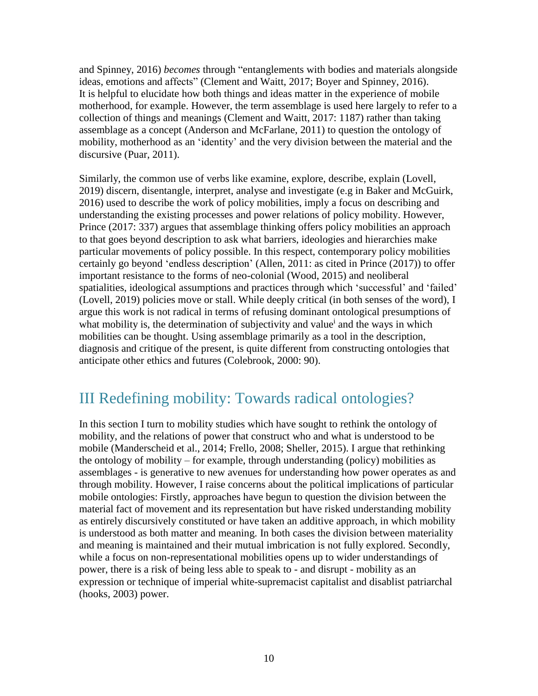and Spinney, 2016) *becomes* through "entanglements with bodies and materials alongside ideas, emotions and affects" (Clement and Waitt, 2017; Boyer and Spinney, 2016). It is helpful to elucidate how both things and ideas matter in the experience of mobile motherhood, for example. However, the term assemblage is used here largely to refer to a collection of things and meanings (Clement and Waitt, 2017: 1187) rather than taking assemblage as a concept (Anderson and McFarlane, 2011) to question the ontology of mobility, motherhood as an 'identity' and the very division between the material and the discursive (Puar, 2011).

Similarly, the common use of verbs like examine, explore, describe, explain (Lovell, 2019) discern, disentangle, interpret, analyse and investigate (e.g in Baker and McGuirk, 2016) used to describe the work of policy mobilities, imply a focus on describing and understanding the existing processes and power relations of policy mobility. However, Prince (2017: 337) argues that assemblage thinking offers policy mobilities an approach to that goes beyond description to ask what barriers, ideologies and hierarchies make particular movements of policy possible. In this respect, contemporary policy mobilities certainly go beyond 'endless description' (Allen, 2011: as cited in Prince (2017)) to offer important resistance to the forms of neo-colonial (Wood, 2015) and neoliberal spatialities, ideological assumptions and practices through which 'successful' and 'failed' (Lovell, 2019) policies move or stall. While deeply critical (in both senses of the word), I argue this work is not radical in terms of refusing dominant ontological presumptions of what mobility is, the determination of subjectivity and value<sup>i</sup> and the ways in which mobilities can be thought. Using assemblage primarily as a tool in the description, diagnosis and critique of the present, is quite different from constructing ontologies that anticipate other ethics and futures (Colebrook, 2000: 90).

# III Redefining mobility: Towards radical ontologies?

In this section I turn to mobility studies which have sought to rethink the ontology of mobility, and the relations of power that construct who and what is understood to be mobile (Manderscheid et al., 2014; Frello, 2008; Sheller, 2015). I argue that rethinking the ontology of mobility – for example, through understanding (policy) mobilities as assemblages - is generative to new avenues for understanding how power operates as and through mobility. However, I raise concerns about the political implications of particular mobile ontologies: Firstly, approaches have begun to question the division between the material fact of movement and its representation but have risked understanding mobility as entirely discursively constituted or have taken an additive approach, in which mobility is understood as both matter and meaning. In both cases the division between materiality and meaning is maintained and their mutual imbrication is not fully explored. Secondly, while a focus on non-representational mobilities opens up to wider understandings of power, there is a risk of being less able to speak to - and disrupt - mobility as an expression or technique of imperial white-supremacist capitalist and disablist patriarchal (hooks, 2003) power.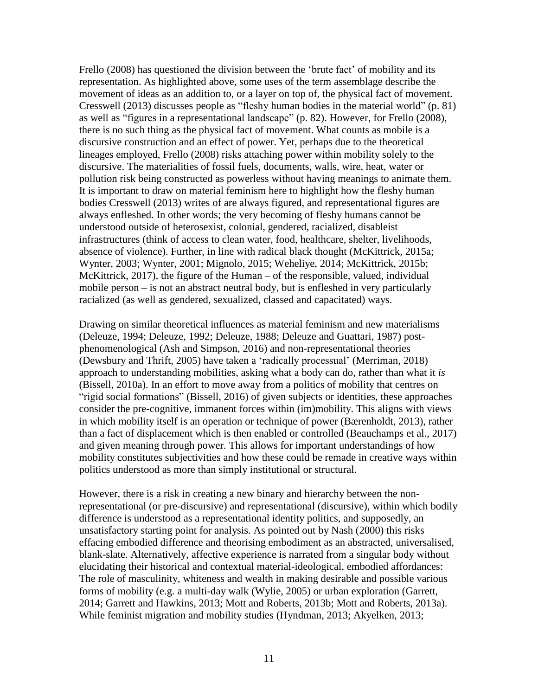Frello (2008) has questioned the division between the 'brute fact' of mobility and its representation. As highlighted above, some uses of the term assemblage describe the movement of ideas as an addition to, or a layer on top of, the physical fact of movement. Cresswell (2013) discusses people as "fleshy human bodies in the material world" (p. 81) as well as "figures in a representational landscape" (p. 82). However, for Frello (2008), there is no such thing as the physical fact of movement. What counts as mobile is a discursive construction and an effect of power. Yet, perhaps due to the theoretical lineages employed, Frello (2008) risks attaching power within mobility solely to the discursive. The materialities of fossil fuels, documents, walls, wire, heat, water or pollution risk being constructed as powerless without having meanings to animate them. It is important to draw on material feminism here to highlight how the fleshy human bodies Cresswell (2013) writes of are always figured, and representational figures are always enfleshed. In other words; the very becoming of fleshy humans cannot be understood outside of heterosexist, colonial, gendered, racialized, disableist infrastructures (think of access to clean water, food, healthcare, shelter, livelihoods, absence of violence). Further, in line with radical black thought (McKittrick, 2015a; Wynter, 2003; Wynter, 2001; Mignolo, 2015; Weheliye, 2014; McKittrick, 2015b; McKittrick, 2017), the figure of the Human – of the responsible, valued, individual mobile person – is not an abstract neutral body, but is enfleshed in very particularly racialized (as well as gendered, sexualized, classed and capacitated) ways.

Drawing on similar theoretical influences as material feminism and new materialisms (Deleuze, 1994; Deleuze, 1992; Deleuze, 1988; Deleuze and Guattari, 1987) postphenomenological (Ash and Simpson, 2016) and non-representational theories (Dewsbury and Thrift, 2005) have taken a 'radically processual' (Merriman, 2018) approach to understanding mobilities, asking what a body can do, rather than what it *is* (Bissell, 2010a). In an effort to move away from a politics of mobility that centres on "rigid social formations" (Bissell, 2016) of given subjects or identities, these approaches consider the pre-cognitive, immanent forces within (im)mobility. This aligns with views in which mobility itself is an operation or technique of power (Bærenholdt, 2013), rather than a fact of displacement which is then enabled or controlled (Beauchamps et al., 2017) and given meaning through power. This allows for important understandings of how mobility constitutes subjectivities and how these could be remade in creative ways within politics understood as more than simply institutional or structural.

However, there is a risk in creating a new binary and hierarchy between the nonrepresentational (or pre-discursive) and representational (discursive), within which bodily difference is understood as a representational identity politics, and supposedly, an unsatisfactory starting point for analysis. As pointed out by Nash (2000) this risks effacing embodied difference and theorising embodiment as an abstracted, universalised, blank-slate. Alternatively, affective experience is narrated from a singular body without elucidating their historical and contextual material-ideological, embodied affordances: The role of masculinity, whiteness and wealth in making desirable and possible various forms of mobility (e.g. a multi-day walk (Wylie, 2005) or urban exploration (Garrett, 2014; Garrett and Hawkins, 2013; Mott and Roberts, 2013b; Mott and Roberts, 2013a). While feminist migration and mobility studies (Hyndman, 2013; Akyelken, 2013;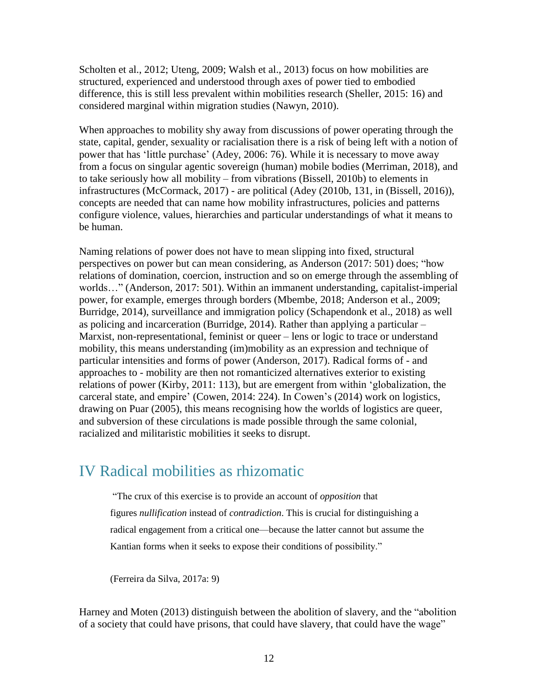Scholten et al., 2012; Uteng, 2009; Walsh et al., 2013) focus on how mobilities are structured, experienced and understood through axes of power tied to embodied difference, this is still less prevalent within mobilities research (Sheller, 2015: 16) and considered marginal within migration studies (Nawyn, 2010).

When approaches to mobility shy away from discussions of power operating through the state, capital, gender, sexuality or racialisation there is a risk of being left with a notion of power that has 'little purchase' (Adey, 2006: 76). While it is necessary to move away from a focus on singular agentic sovereign (human) mobile bodies (Merriman, 2018), and to take seriously how all mobility – from vibrations (Bissell, 2010b) to elements in infrastructures (McCormack, 2017) - are political (Adey (2010b, 131, in (Bissell, 2016)), concepts are needed that can name how mobility infrastructures, policies and patterns configure violence, values, hierarchies and particular understandings of what it means to be human.

Naming relations of power does not have to mean slipping into fixed, structural perspectives on power but can mean considering, as Anderson (2017: 501) does; "how relations of domination, coercion, instruction and so on emerge through the assembling of worlds…" (Anderson, 2017: 501). Within an immanent understanding, capitalist-imperial power, for example, emerges through borders (Mbembe, 2018; Anderson et al., 2009; Burridge, 2014), surveillance and immigration policy (Schapendonk et al., 2018) as well as policing and incarceration (Burridge, 2014). Rather than applying a particular – Marxist, non-representational, feminist or queer – lens or logic to trace or understand mobility, this means understanding (im)mobility as an expression and technique of particular intensities and forms of power (Anderson, 2017). Radical forms of - and approaches to - mobility are then not romanticized alternatives exterior to existing relations of power (Kirby, 2011: 113), but are emergent from within 'globalization, the carceral state, and empire' (Cowen, 2014: 224). In Cowen's (2014) work on logistics, drawing on Puar (2005), this means recognising how the worlds of logistics are queer, and subversion of these circulations is made possible through the same colonial, racialized and militaristic mobilities it seeks to disrupt.

## IV Radical mobilities as rhizomatic

"The crux of this exercise is to provide an account of *opposition* that figures *nullification* instead of *contradiction*. This is crucial for distinguishing a radical engagement from a critical one—because the latter cannot but assume the Kantian forms when it seeks to expose their conditions of possibility."

(Ferreira da Silva, 2017a: 9)

Harney and Moten (2013) distinguish between the abolition of slavery, and the "abolition of a society that could have prisons, that could have slavery, that could have the wage"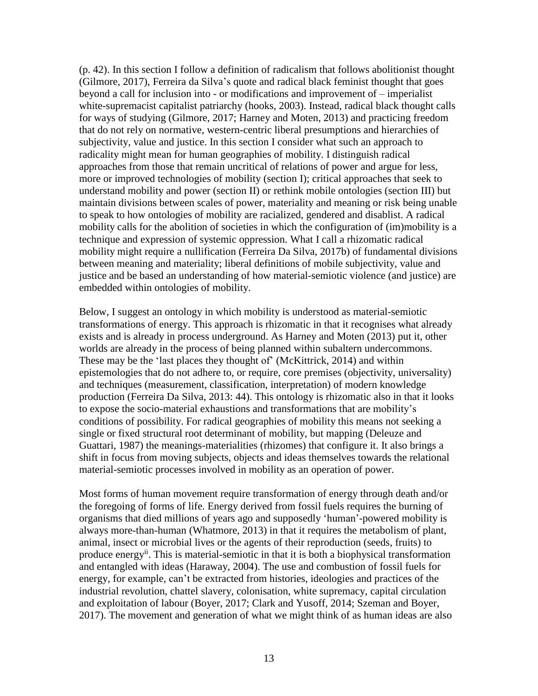(p. 42). In this section I follow a definition of radicalism that follows abolitionist thought (Gilmore, 2017), Ferreira da Silva's quote and radical black feminist thought that goes beyond a call for inclusion into - or modifications and improvement of – imperialist white-supremacist capitalist patriarchy (hooks, 2003). Instead, radical black thought calls for ways of studying (Gilmore, 2017; Harney and Moten, 2013) and practicing freedom that do not rely on normative, western-centric liberal presumptions and hierarchies of subjectivity, value and justice. In this section I consider what such an approach to radicality might mean for human geographies of mobility. I distinguish radical approaches from those that remain uncritical of relations of power and argue for less, more or improved technologies of mobility (section I); critical approaches that seek to understand mobility and power (section II) or rethink mobile ontologies (section III) but maintain divisions between scales of power, materiality and meaning or risk being unable to speak to how ontologies of mobility are racialized, gendered and disablist. A radical mobility calls for the abolition of societies in which the configuration of (im)mobility is a technique and expression of systemic oppression. What I call a rhizomatic radical mobility might require a nullification (Ferreira Da Silva, 2017b) of fundamental divisions between meaning and materiality; liberal definitions of mobile subjectivity, value and justice and be based an understanding of how material-semiotic violence (and justice) are embedded within ontologies of mobility.

Below, I suggest an ontology in which mobility is understood as material-semiotic transformations of energy. This approach is rhizomatic in that it recognises what already exists and is already in process underground. As Harney and Moten (2013) put it, other worlds are already in the process of being planned within subaltern undercommons. These may be the 'last places they thought of' (McKittrick, 2014) and within epistemologies that do not adhere to, or require, core premises (objectivity, universality) and techniques (measurement, classification, interpretation) of modern knowledge production (Ferreira Da Silva, 2013: 44). This ontology is rhizomatic also in that it looks to expose the socio-material exhaustions and transformations that are mobility's conditions of possibility. For radical geographies of mobility this means not seeking a single or fixed structural root determinant of mobility, but mapping (Deleuze and Guattari, 1987) the meanings-materialities (rhizomes) that configure it. It also brings a shift in focus from moving subjects, objects and ideas themselves towards the relational material-semiotic processes involved in mobility as an operation of power.

Most forms of human movement require transformation of energy through death and/or the foregoing of forms of life. Energy derived from fossil fuels requires the burning of organisms that died millions of years ago and supposedly 'human'-powered mobility is always more-than-human (Whatmore, 2013) in that it requires the metabolism of plant, animal, insect or microbial lives or the agents of their reproduction (seeds, fruits) to produce energy<sup>ii</sup>. This is material-semiotic in that it is both a biophysical transformation and entangled with ideas (Haraway, 2004). The use and combustion of fossil fuels for energy, for example, can't be extracted from histories, ideologies and practices of the industrial revolution, chattel slavery, colonisation, white supremacy, capital circulation and exploitation of labour (Boyer, 2017; Clark and Yusoff, 2014; Szeman and Boyer, 2017). The movement and generation of what we might think of as human ideas are also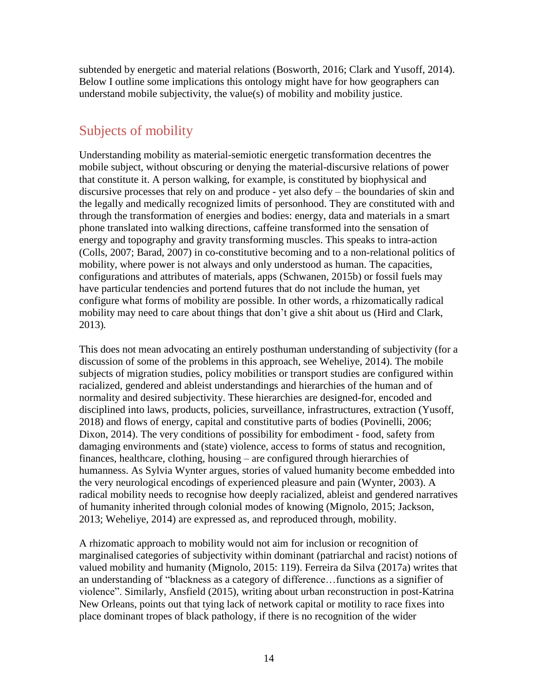subtended by energetic and material relations (Bosworth, 2016; Clark and Yusoff, 2014). Below I outline some implications this ontology might have for how geographers can understand mobile subjectivity, the value(s) of mobility and mobility justice.

#### Subjects of mobility

Understanding mobility as material-semiotic energetic transformation decentres the mobile subject, without obscuring or denying the material-discursive relations of power that constitute it. A person walking, for example, is constituted by biophysical and discursive processes that rely on and produce - yet also defy – the boundaries of skin and the legally and medically recognized limits of personhood. They are constituted with and through the transformation of energies and bodies: energy, data and materials in a smart phone translated into walking directions, caffeine transformed into the sensation of energy and topography and gravity transforming muscles. This speaks to intra-action (Colls, 2007; Barad, 2007) in co-constitutive becoming and to a non-relational politics of mobility, where power is not always and only understood as human. The capacities, configurations and attributes of materials, apps (Schwanen, 2015b) or fossil fuels may have particular tendencies and portend futures that do not include the human, yet configure what forms of mobility are possible. In other words, a rhizomatically radical mobility may need to care about things that don't give a shit about us (Hird and Clark, 2013)*.*

This does not mean advocating an entirely posthuman understanding of subjectivity (for a discussion of some of the problems in this approach, see Weheliye, 2014). The mobile subjects of migration studies, policy mobilities or transport studies are configured within racialized, gendered and ableist understandings and hierarchies of the human and of normality and desired subjectivity. These hierarchies are designed-for, encoded and disciplined into laws, products, policies, surveillance, infrastructures, extraction (Yusoff, 2018) and flows of energy, capital and constitutive parts of bodies (Povinelli, 2006; Dixon, 2014). The very conditions of possibility for embodiment - food, safety from damaging environments and (state) violence, access to forms of status and recognition, finances, healthcare, clothing, housing – are configured through hierarchies of humanness. As Sylvia Wynter argues, stories of valued humanity become embedded into the very neurological encodings of experienced pleasure and pain (Wynter, 2003). A radical mobility needs to recognise how deeply racialized, ableist and gendered narratives of humanity inherited through colonial modes of knowing (Mignolo, 2015; Jackson, 2013; Weheliye, 2014) are expressed as, and reproduced through, mobility.

A rhizomatic approach to mobility would not aim for inclusion or recognition of marginalised categories of subjectivity within dominant (patriarchal and racist) notions of valued mobility and humanity (Mignolo, 2015: 119). Ferreira da Silva (2017a) writes that an understanding of "blackness as a category of difference…functions as a signifier of violence". Similarly, Ansfield (2015), writing about urban reconstruction in post-Katrina New Orleans, points out that tying lack of network capital or motility to race fixes into place dominant tropes of black pathology, if there is no recognition of the wider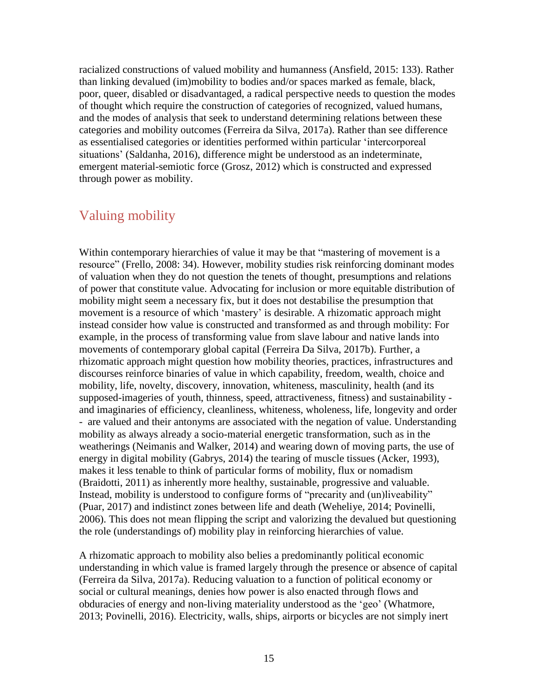racialized constructions of valued mobility and humanness (Ansfield, 2015: 133). Rather than linking devalued (im)mobility to bodies and/or spaces marked as female, black, poor, queer, disabled or disadvantaged, a radical perspective needs to question the modes of thought which require the construction of categories of recognized, valued humans, and the modes of analysis that seek to understand determining relations between these categories and mobility outcomes (Ferreira da Silva, 2017a). Rather than see difference as essentialised categories or identities performed within particular 'intercorporeal situations' (Saldanha, 2016), difference might be understood as an indeterminate, emergent material-semiotic force (Grosz, 2012) which is constructed and expressed through power as mobility.

#### Valuing mobility

Within contemporary hierarchies of value it may be that "mastering of movement is a resource" (Frello, 2008: 34). However, mobility studies risk reinforcing dominant modes of valuation when they do not question the tenets of thought, presumptions and relations of power that constitute value. Advocating for inclusion or more equitable distribution of mobility might seem a necessary fix, but it does not destabilise the presumption that movement is a resource of which 'mastery' is desirable. A rhizomatic approach might instead consider how value is constructed and transformed as and through mobility: For example, in the process of transforming value from slave labour and native lands into movements of contemporary global capital (Ferreira Da Silva, 2017b). Further, a rhizomatic approach might question how mobility theories, practices, infrastructures and discourses reinforce binaries of value in which capability, freedom, wealth, choice and mobility, life, novelty, discovery, innovation, whiteness, masculinity, health (and its supposed-imageries of youth, thinness, speed, attractiveness, fitness) and sustainability and imaginaries of efficiency, cleanliness, whiteness, wholeness, life, longevity and order - are valued and their antonyms are associated with the negation of value. Understanding mobility as always already a socio-material energetic transformation, such as in the weatherings (Neimanis and Walker, 2014) and wearing down of moving parts, the use of energy in digital mobility (Gabrys, 2014) the tearing of muscle tissues (Acker, 1993), makes it less tenable to think of particular forms of mobility, flux or nomadism (Braidotti, 2011) as inherently more healthy, sustainable, progressive and valuable. Instead, mobility is understood to configure forms of "precarity and (un)liveability" (Puar, 2017) and indistinct zones between life and death (Weheliye, 2014; Povinelli, 2006). This does not mean flipping the script and valorizing the devalued but questioning the role (understandings of) mobility play in reinforcing hierarchies of value.

A rhizomatic approach to mobility also belies a predominantly political economic understanding in which value is framed largely through the presence or absence of capital (Ferreira da Silva, 2017a). Reducing valuation to a function of political economy or social or cultural meanings, denies how power is also enacted through flows and obduracies of energy and non-living materiality understood as the 'geo' (Whatmore, 2013; Povinelli, 2016). Electricity, walls, ships, airports or bicycles are not simply inert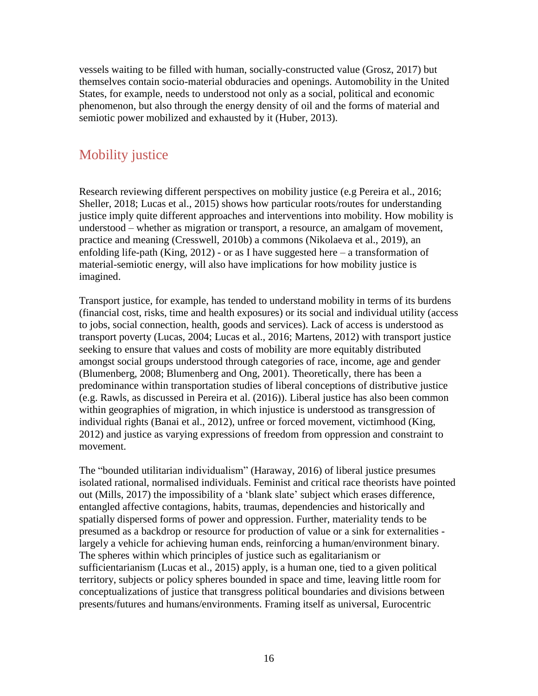vessels waiting to be filled with human, socially-constructed value (Grosz, 2017) but themselves contain socio-material obduracies and openings. Automobility in the United States, for example, needs to understood not only as a social, political and economic phenomenon, but also through the energy density of oil and the forms of material and semiotic power mobilized and exhausted by it (Huber, 2013).

#### Mobility justice

Research reviewing different perspectives on mobility justice (e.g Pereira et al., 2016; Sheller, 2018; Lucas et al., 2015) shows how particular roots/routes for understanding justice imply quite different approaches and interventions into mobility. How mobility is understood – whether as migration or transport, a resource, an amalgam of movement, practice and meaning (Cresswell, 2010b) a commons (Nikolaeva et al., 2019), an enfolding life-path (King, 2012) - or as I have suggested here – a transformation of material-semiotic energy, will also have implications for how mobility justice is imagined.

Transport justice, for example, has tended to understand mobility in terms of its burdens (financial cost, risks, time and health exposures) or its social and individual utility (access to jobs, social connection, health, goods and services). Lack of access is understood as transport poverty (Lucas, 2004; Lucas et al., 2016; Martens, 2012) with transport justice seeking to ensure that values and costs of mobility are more equitably distributed amongst social groups understood through categories of race, income, age and gender (Blumenberg, 2008; Blumenberg and Ong, 2001). Theoretically, there has been a predominance within transportation studies of liberal conceptions of distributive justice (e.g. Rawls, as discussed in Pereira et al. (2016)). Liberal justice has also been common within geographies of migration, in which injustice is understood as transgression of individual rights (Banai et al., 2012), unfree or forced movement, victimhood (King, 2012) and justice as varying expressions of freedom from oppression and constraint to movement.

The "bounded utilitarian individualism" (Haraway, 2016) of liberal justice presumes isolated rational, normalised individuals. Feminist and critical race theorists have pointed out (Mills, 2017) the impossibility of a 'blank slate' subject which erases difference, entangled affective contagions, habits, traumas, dependencies and historically and spatially dispersed forms of power and oppression. Further, materiality tends to be presumed as a backdrop or resource for production of value or a sink for externalities largely a vehicle for achieving human ends, reinforcing a human/environment binary. The spheres within which principles of justice such as egalitarianism or sufficientarianism (Lucas et al., 2015) apply, is a human one, tied to a given political territory, subjects or policy spheres bounded in space and time, leaving little room for conceptualizations of justice that transgress political boundaries and divisions between presents/futures and humans/environments. Framing itself as universal, Eurocentric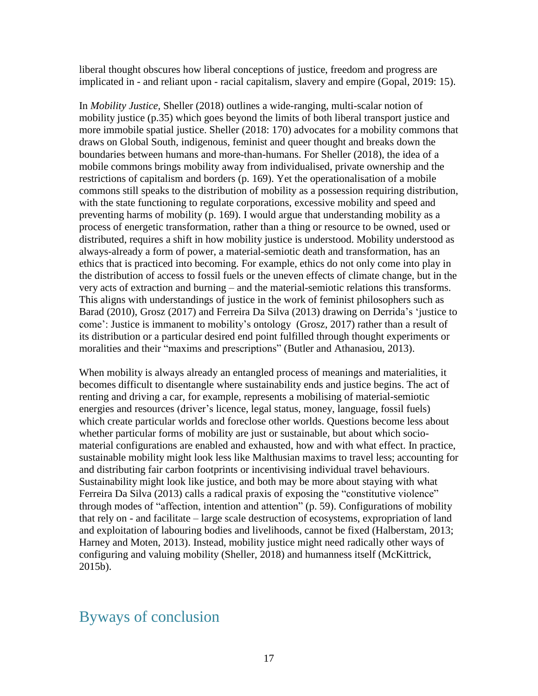liberal thought obscures how liberal conceptions of justice, freedom and progress are implicated in - and reliant upon - racial capitalism, slavery and empire (Gopal, 2019: 15).

In *Mobility Justice,* Sheller (2018) outlines a wide-ranging, multi-scalar notion of mobility justice (p.35) which goes beyond the limits of both liberal transport justice and more immobile spatial justice. Sheller (2018: 170) advocates for a mobility commons that draws on Global South, indigenous, feminist and queer thought and breaks down the boundaries between humans and more-than-humans. For Sheller (2018), the idea of a mobile commons brings mobility away from individualised, private ownership and the restrictions of capitalism and borders (p. 169). Yet the operationalisation of a mobile commons still speaks to the distribution of mobility as a possession requiring distribution, with the state functioning to regulate corporations, excessive mobility and speed and preventing harms of mobility (p. 169). I would argue that understanding mobility as a process of energetic transformation, rather than a thing or resource to be owned, used or distributed, requires a shift in how mobility justice is understood. Mobility understood as always-already a form of power, a material-semiotic death and transformation, has an ethics that is practiced into becoming. For example, ethics do not only come into play in the distribution of access to fossil fuels or the uneven effects of climate change, but in the very acts of extraction and burning – and the material-semiotic relations this transforms. This aligns with understandings of justice in the work of feminist philosophers such as Barad (2010), Grosz (2017) and Ferreira Da Silva (2013) drawing on Derrida's 'justice to come': Justice is immanent to mobility's ontology (Grosz, 2017) rather than a result of its distribution or a particular desired end point fulfilled through thought experiments or moralities and their "maxims and prescriptions" (Butler and Athanasiou, 2013).

When mobility is always already an entangled process of meanings and materialities, it becomes difficult to disentangle where sustainability ends and justice begins. The act of renting and driving a car, for example, represents a mobilising of material-semiotic energies and resources (driver's licence, legal status, money, language, fossil fuels) which create particular worlds and foreclose other worlds. Questions become less about whether particular forms of mobility are just or sustainable, but about which sociomaterial configurations are enabled and exhausted, how and with what effect. In practice, sustainable mobility might look less like Malthusian maxims to travel less; accounting for and distributing fair carbon footprints or incentivising individual travel behaviours. Sustainability might look like justice, and both may be more about staying with what Ferreira Da Silva (2013) calls a radical praxis of exposing the "constitutive violence" through modes of "affection, intention and attention" (p. 59). Configurations of mobility that rely on - and facilitate – large scale destruction of ecosystems, expropriation of land and exploitation of labouring bodies and livelihoods, cannot be fixed (Halberstam, 2013; Harney and Moten, 2013). Instead, mobility justice might need radically other ways of configuring and valuing mobility (Sheller, 2018) and humanness itself (McKittrick, 2015b).

# Byways of conclusion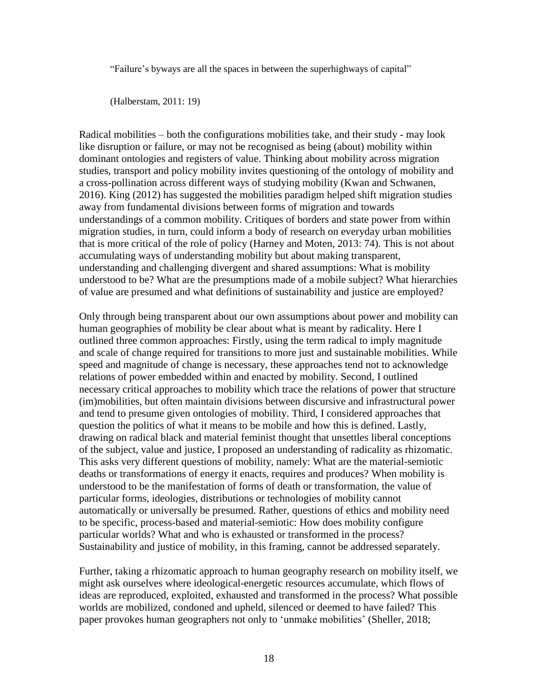"Failure's byways are all the spaces in between the superhighways of capital"

(Halberstam, 2011: 19)

Radical mobilities – both the configurations mobilities take, and their study - may look like disruption or failure, or may not be recognised as being (about) mobility within dominant ontologies and registers of value. Thinking about mobility across migration studies, transport and policy mobility invites questioning of the ontology of mobility and a cross-pollination across different ways of studying mobility (Kwan and Schwanen, 2016). King (2012) has suggested the mobilities paradigm helped shift migration studies away from fundamental divisions between forms of migration and towards understandings of a common mobility. Critiques of borders and state power from within migration studies, in turn, could inform a body of research on everyday urban mobilities that is more critical of the role of policy (Harney and Moten, 2013: 74). This is not about accumulating ways of understanding mobility but about making transparent, understanding and challenging divergent and shared assumptions: What is mobility understood to be? What are the presumptions made of a mobile subject? What hierarchies of value are presumed and what definitions of sustainability and justice are employed?

Only through being transparent about our own assumptions about power and mobility can human geographies of mobility be clear about what is meant by radicality. Here I outlined three common approaches: Firstly, using the term radical to imply magnitude and scale of change required for transitions to more just and sustainable mobilities. While speed and magnitude of change is necessary, these approaches tend not to acknowledge relations of power embedded within and enacted by mobility. Second, I outlined necessary critical approaches to mobility which trace the relations of power that structure (im)mobilities, but often maintain divisions between discursive and infrastructural power and tend to presume given ontologies of mobility. Third, I considered approaches that question the politics of what it means to be mobile and how this is defined. Lastly, drawing on radical black and material feminist thought that unsettles liberal conceptions of the subject, value and justice, I proposed an understanding of radicality as rhizomatic. This asks very different questions of mobility, namely: What are the material-semiotic deaths or transformations of energy it enacts, requires and produces? When mobility is understood to be the manifestation of forms of death or transformation, the value of particular forms, ideologies, distributions or technologies of mobility cannot automatically or universally be presumed. Rather, questions of ethics and mobility need to be specific, process-based and material-semiotic: How does mobility configure particular worlds? What and who is exhausted or transformed in the process? Sustainability and justice of mobility, in this framing, cannot be addressed separately.

Further, taking a rhizomatic approach to human geography research on mobility itself, we might ask ourselves where ideological-energetic resources accumulate, which flows of ideas are reproduced, exploited, exhausted and transformed in the process? What possible worlds are mobilized, condoned and upheld, silenced or deemed to have failed? This paper provokes human geographers not only to 'unmake mobilities' (Sheller, 2018;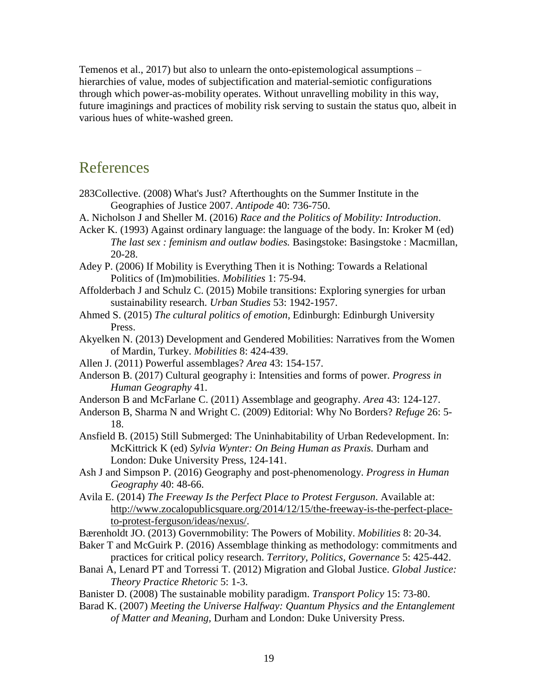Temenos et al., 2017) but also to unlearn the onto-epistemological assumptions – hierarchies of value, modes of subjectification and material-semiotic configurations through which power-as-mobility operates. Without unravelling mobility in this way, future imaginings and practices of mobility risk serving to sustain the status quo, albeit in various hues of white-washed green.

#### References

- 283Collective. (2008) What's Just? Afterthoughts on the Summer Institute in the Geographies of Justice 2007. *Antipode* 40: 736-750.
- A. Nicholson J and Sheller M. (2016) *Race and the Politics of Mobility: Introduction*.
- Acker K. (1993) Against ordinary language: the language of the body. In: Kroker M (ed) *The last sex : feminism and outlaw bodies.* Basingstoke: Basingstoke : Macmillan, 20-28.
- Adey P. (2006) If Mobility is Everything Then it is Nothing: Towards a Relational Politics of (Im)mobilities. *Mobilities* 1: 75-94.
- Affolderbach J and Schulz C. (2015) Mobile transitions: Exploring synergies for urban sustainability research. *Urban Studies* 53: 1942-1957.
- Ahmed S. (2015) *The cultural politics of emotion,* Edinburgh: Edinburgh University Press.
- Akyelken N. (2013) Development and Gendered Mobilities: Narratives from the Women of Mardin, Turkey. *Mobilities* 8: 424-439.
- Allen J. (2011) Powerful assemblages? *Area* 43: 154-157.
- Anderson B. (2017) Cultural geography i: Intensities and forms of power. *Progress in Human Geography* 41.
- Anderson B and McFarlane C. (2011) Assemblage and geography. *Area* 43: 124-127.
- Anderson B, Sharma N and Wright C. (2009) Editorial: Why No Borders? *Refuge* 26: 5- 18.
- Ansfield B. (2015) Still Submerged: The Uninhabitability of Urban Redevelopment. In: McKittrick K (ed) *Sylvia Wynter: On Being Human as Praxis.* Durham and London: Duke University Press, 124-141.
- Ash J and Simpson P. (2016) Geography and post-phenomenology. *Progress in Human Geography* 40: 48-66.
- Avila E. (2014) *The Freeway Is the Perfect Place to Protest Ferguson*. Available at: [http://www.zocalopublicsquare.org/2014/12/15/the-freeway-is-the-perfect-place](http://www.zocalopublicsquare.org/2014/12/15/the-freeway-is-the-perfect-place-to-protest-ferguson/ideas/nexus/)[to-protest-ferguson/ideas/nexus/.](http://www.zocalopublicsquare.org/2014/12/15/the-freeway-is-the-perfect-place-to-protest-ferguson/ideas/nexus/)
- Bærenholdt JO. (2013) Governmobility: The Powers of Mobility. *Mobilities* 8: 20-34.
- Baker T and McGuirk P. (2016) Assemblage thinking as methodology: commitments and practices for critical policy research. *Territory, Politics, Governance* 5: 425-442.
- Banai A, Lenard PT and Torressi T. (2012) Migration and Global Justice. *Global Justice: Theory Practice Rhetoric* 5: 1-3.
- Banister D. (2008) The sustainable mobility paradigm. *Transport Policy* 15: 73-80.
- Barad K. (2007) *Meeting the Universe Halfway: Quantum Physics and the Entanglement of Matter and Meaning,* Durham and London: Duke University Press.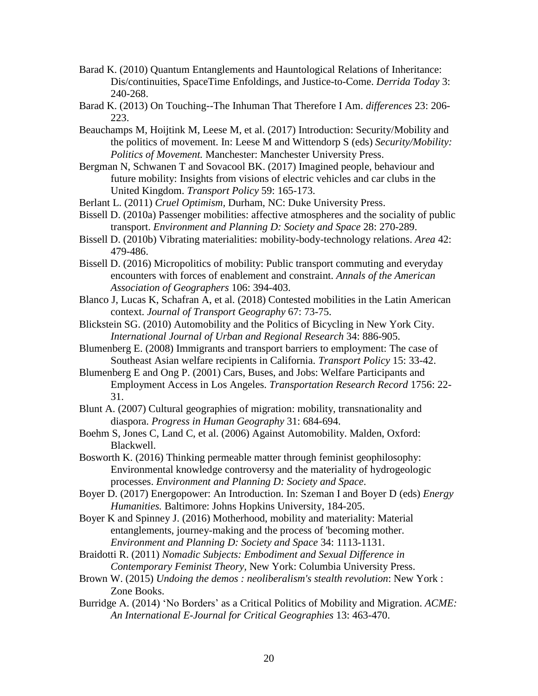- Barad K. (2010) Quantum Entanglements and Hauntological Relations of Inheritance: Dis/continuities, SpaceTime Enfoldings, and Justice-to-Come. *Derrida Today* 3: 240-268.
- Barad K. (2013) On Touching--The Inhuman That Therefore I Am. *differences* 23: 206- 223.
- Beauchamps M, Hoijtink M, Leese M, et al. (2017) Introduction: Security/Mobility and the politics of movement. In: Leese M and Wittendorp S (eds) *Security/Mobility: Politics of Movement.* Manchester: Manchester University Press.
- Bergman N, Schwanen T and Sovacool BK. (2017) Imagined people, behaviour and future mobility: Insights from visions of electric vehicles and car clubs in the United Kingdom. *Transport Policy* 59: 165-173.
- Berlant L. (2011) *Cruel Optimism,* Durham, NC: Duke University Press.
- Bissell D. (2010a) Passenger mobilities: affective atmospheres and the sociality of public transport. *Environment and Planning D: Society and Space* 28: 270-289.
- Bissell D. (2010b) Vibrating materialities: mobility-body-technology relations. *Area* 42: 479-486.
- Bissell D. (2016) Micropolitics of mobility: Public transport commuting and everyday encounters with forces of enablement and constraint. *Annals of the American Association of Geographers* 106: 394-403.
- Blanco J, Lucas K, Schafran A, et al. (2018) Contested mobilities in the Latin American context. *Journal of Transport Geography* 67: 73-75.
- Blickstein SG. (2010) Automobility and the Politics of Bicycling in New York City. *International Journal of Urban and Regional Research* 34: 886-905.
- Blumenberg E. (2008) Immigrants and transport barriers to employment: The case of Southeast Asian welfare recipients in California. *Transport Policy* 15: 33-42.
- Blumenberg E and Ong P. (2001) Cars, Buses, and Jobs: Welfare Participants and Employment Access in Los Angeles. *Transportation Research Record* 1756: 22- 31.
- Blunt A. (2007) Cultural geographies of migration: mobility, transnationality and diaspora. *Progress in Human Geography* 31: 684-694.
- Boehm S, Jones C, Land C, et al. (2006) Against Automobility. Malden, Oxford: Blackwell.
- Bosworth K. (2016) Thinking permeable matter through feminist geophilosophy: Environmental knowledge controversy and the materiality of hydrogeologic processes. *Environment and Planning D: Society and Space*.
- Boyer D. (2017) Energopower: An Introduction. In: Szeman I and Boyer D (eds) *Energy Humanities.* Baltimore: Johns Hopkins University, 184-205.
- Boyer K and Spinney J. (2016) Motherhood, mobility and materiality: Material entanglements, journey-making and the process of 'becoming mother. *Environment and Planning D: Society and Space* 34: 1113-1131.
- Braidotti R. (2011) *Nomadic Subjects: Embodiment and Sexual Difference in Contemporary Feminist Theory,* New York: Columbia University Press.
- Brown W. (2015) *Undoing the demos : neoliberalism's stealth revolution*: New York : Zone Books.
- Burridge A. (2014) 'No Borders' as a Critical Politics of Mobility and Migration. *ACME: An International E-Journal for Critical Geographies* 13: 463-470.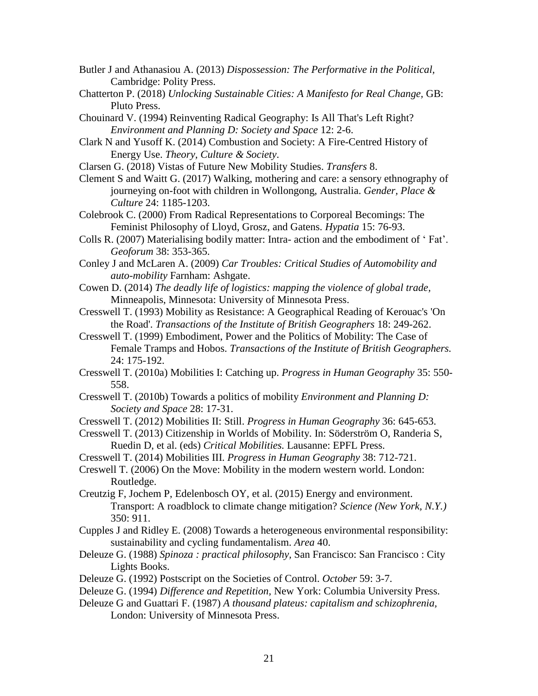- Butler J and Athanasiou A. (2013) *Dispossession: The Performative in the Political,* Cambridge: Polity Press.
- Chatterton P. (2018) *Unlocking Sustainable Cities: A Manifesto for Real Change,* GB: Pluto Press.
- Chouinard V. (1994) Reinventing Radical Geography: Is All That's Left Right? *Environment and Planning D: Society and Space* 12: 2-6.
- Clark N and Yusoff K. (2014) Combustion and Society: A Fire-Centred History of Energy Use. *Theory, Culture & Society*.
- Clarsen G. (2018) Vistas of Future New Mobility Studies. *Transfers* 8.
- Clement S and Waitt G. (2017) Walking, mothering and care: a sensory ethnography of journeying on-foot with children in Wollongong, Australia. *Gender, Place & Culture* 24: 1185-1203.
- Colebrook C. (2000) From Radical Representations to Corporeal Becomings: The Feminist Philosophy of Lloyd, Grosz, and Gatens. *Hypatia* 15: 76-93.
- Colls R. (2007) Materialising bodily matter: Intra- action and the embodiment of ' Fat'. *Geoforum* 38: 353-365.
- Conley J and McLaren A. (2009) *Car Troubles: Critical Studies of Automobility and auto-mobility* Farnham: Ashgate.
- Cowen D. (2014) *The deadly life of logistics: mapping the violence of global trade,* Minneapolis, Minnesota: University of Minnesota Press.
- Cresswell T. (1993) Mobility as Resistance: A Geographical Reading of Kerouac's 'On the Road'. *Transactions of the Institute of British Geographers* 18: 249-262.
- Cresswell T. (1999) Embodiment, Power and the Politics of Mobility: The Case of Female Tramps and Hobos. *Transactions of the Institute of British Geographers.* 24: 175-192.
- Cresswell T. (2010a) Mobilities I: Catching up. *Progress in Human Geography* 35: 550- 558.
- Cresswell T. (2010b) Towards a politics of mobility *Environment and Planning D: Society and Space* 28: 17-31.
- Cresswell T. (2012) Mobilities II: Still. *Progress in Human Geography* 36: 645-653.
- Cresswell T. (2013) Citizenship in Worlds of Mobility. In: Söderström O, Randeria S, Ruedin D, et al. (eds) *Critical Mobilities.* Lausanne: EPFL Press.
- Cresswell T. (2014) Mobilities III. *Progress in Human Geography* 38: 712-721.
- Creswell T. (2006) On the Move: Mobility in the modern western world. London: Routledge.
- Creutzig F, Jochem P, Edelenbosch OY, et al. (2015) Energy and environment. Transport: A roadblock to climate change mitigation? *Science (New York, N.Y.)* 350: 911.
- Cupples J and Ridley E. (2008) Towards a heterogeneous environmental responsibility: sustainability and cycling fundamentalism. *Area* 40.
- Deleuze G. (1988) *Spinoza : practical philosophy,* San Francisco: San Francisco : City Lights Books.
- Deleuze G. (1992) Postscript on the Societies of Control. *October* 59: 3-7.
- Deleuze G. (1994) *Difference and Repetition,* New York: Columbia University Press.
- Deleuze G and Guattari F. (1987) *A thousand plateus: capitalism and schizophrenia,*
	- London: University of Minnesota Press.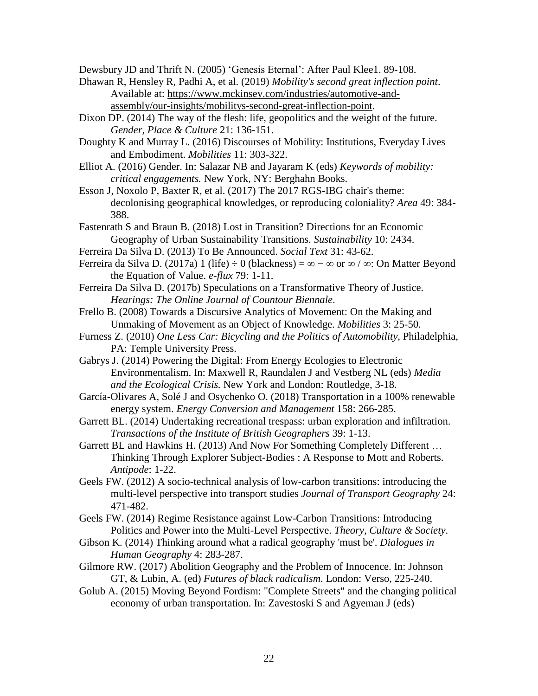Dewsbury JD and Thrift N. (2005) 'Genesis Eternal': After Paul Klee1. 89-108.

- Dhawan R, Hensley R, Padhi A, et al. (2019) *Mobility's second great inflection point*. Available at: [https://www.mckinsey.com/industries/automotive-and](https://www.mckinsey.com/industries/automotive-and-assembly/our-insights/mobilitys-second-great-inflection-point)[assembly/our-insights/mobilitys-second-great-inflection-point.](https://www.mckinsey.com/industries/automotive-and-assembly/our-insights/mobilitys-second-great-inflection-point)
- Dixon DP. (2014) The way of the flesh: life, geopolitics and the weight of the future. *Gender, Place & Culture* 21: 136-151.
- Doughty K and Murray L. (2016) Discourses of Mobility: Institutions, Everyday Lives and Embodiment. *Mobilities* 11: 303-322.
- Elliot A. (2016) Gender. In: Salazar NB and Jayaram K (eds) *Keywords of mobility: critical engagements.* New York, NY: Berghahn Books.
- Esson J, Noxolo P, Baxter R, et al. (2017) The 2017 RGS-IBG chair's theme: decolonising geographical knowledges, or reproducing coloniality? *Area* 49: 384- 388.
- Fastenrath S and Braun B. (2018) Lost in Transition? Directions for an Economic Geography of Urban Sustainability Transitions. *Sustainability* 10: 2434.
- Ferreira Da Silva D. (2013) To Be Announced. *Social Text* 31: 43-62.
- Ferreira da Silva D. (2017a) 1 (life) ÷ 0 (blackness) =  $\infty \infty$  or  $\infty / \infty$ : On Matter Beyond the Equation of Value. *e-flux* 79: 1-11.
- Ferreira Da Silva D. (2017b) Speculations on a Transformative Theory of Justice. *Hearings: The Online Journal of Countour Biennale*.
- Frello B. (2008) Towards a Discursive Analytics of Movement: On the Making and Unmaking of Movement as an Object of Knowledge. *Mobilities* 3: 25-50.
- Furness Z. (2010) *One Less Car: Bicycling and the Politics of Automobility,* Philadelphia, PA: Temple University Press.
- Gabrys J. (2014) Powering the Digital: From Energy Ecologies to Electronic Environmentalism. In: Maxwell R, Raundalen J and Vestberg NL (eds) *Media and the Ecological Crisis.* New York and London: Routledge, 3-18.
- García-Olivares A, Solé J and Osychenko O. (2018) Transportation in a 100% renewable energy system. *Energy Conversion and Management* 158: 266-285.
- Garrett BL. (2014) Undertaking recreational trespass: urban exploration and infiltration. *Transactions of the Institute of British Geographers* 39: 1-13.
- Garrett BL and Hawkins H. (2013) And Now For Something Completely Different … Thinking Through Explorer Subject-Bodies : A Response to Mott and Roberts. *Antipode*: 1-22.
- Geels FW. (2012) A socio-technical analysis of low-carbon transitions: introducing the multi-level perspective into transport studies *Journal of Transport Geography* 24: 471-482.
- Geels FW. (2014) Regime Resistance against Low-Carbon Transitions: Introducing Politics and Power into the Multi-Level Perspective. *Theory, Culture & Society*.
- Gibson K. (2014) Thinking around what a radical geography 'must be'. *Dialogues in Human Geography* 4: 283-287.
- Gilmore RW. (2017) Abolition Geography and the Problem of Innocence. In: Johnson GT, & Lubin, A. (ed) *Futures of black radicalism.* London: Verso, 225-240.
- Golub A. (2015) Moving Beyond Fordism: "Complete Streets" and the changing political economy of urban transportation. In: Zavestoski S and Agyeman J (eds)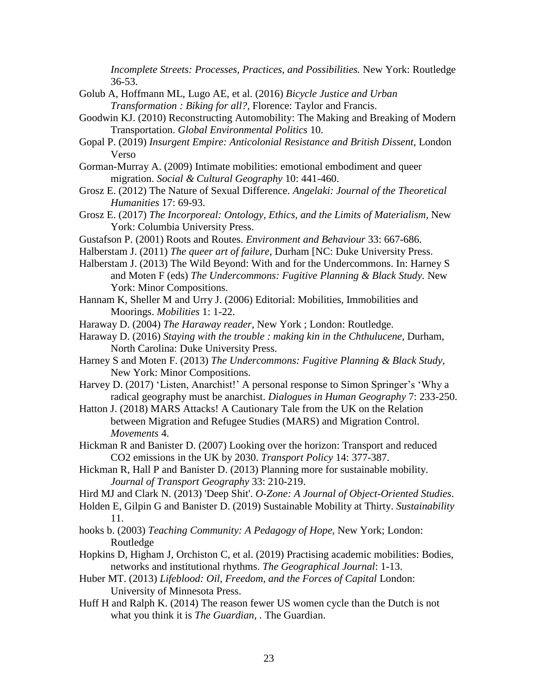*Incomplete Streets: Processes, Practices, and Possibilities.* New York: Routledge 36-53.

- Golub A, Hoffmann ML, Lugo AE, et al. (2016) *Bicycle Justice and Urban Transformation : Biking for all?,* Florence: Taylor and Francis.
- Goodwin KJ. (2010) Reconstructing Automobility: The Making and Breaking of Modern Transportation. *Global Environmental Politics* 10.
- Gopal P. (2019) *Insurgent Empire: Anticolonial Resistance and British Dissent,* London Verso
- Gorman-Murray A. (2009) Intimate mobilities: emotional embodiment and queer migration. *Social & Cultural Geography* 10: 441-460.
- Grosz E. (2012) The Nature of Sexual Difference. *Angelaki: Journal of the Theoretical Humanities* 17: 69-93.
- Grosz E. (2017) *The Incorporeal: Ontology, Ethics, and the Limits of Materialism,* New York: Columbia University Press.
- Gustafson P. (2001) Roots and Routes. *Environment and Behaviour* 33: 667-686.
- Halberstam J. (2011) *The queer art of failure,* Durham [NC: Duke University Press.
- Halberstam J. (2013) The Wild Beyond: With and for the Undercommons. In: Harney S and Moten F (eds) *The Undercommons: Fugitive Planning & Black Study.* New York: Minor Compositions.
- Hannam K, Sheller M and Urry J. (2006) Editorial: Mobilities, Immobilities and Moorings. *Mobilities* 1: 1-22.
- Haraway D. (2004) *The Haraway reader,* New York ; London: Routledge.
- Haraway D. (2016) *Staying with the trouble : making kin in the Chthulucene,* Durham, North Carolina: Duke University Press.
- Harney S and Moten F. (2013) *The Undercommons: Fugitive Planning & Black Study,* New York: Minor Compositions.
- Harvey D. (2017) 'Listen, Anarchist!' A personal response to Simon Springer's 'Why a radical geography must be anarchist. *Dialogues in Human Geography* 7: 233-250.
- Hatton J. (2018) MARS Attacks! A Cautionary Tale from the UK on the Relation between Migration and Refugee Studies (MARS) and Migration Control. *Movements* 4.
- Hickman R and Banister D. (2007) Looking over the horizon: Transport and reduced CO2 emissions in the UK by 2030. *Transport Policy* 14: 377-387.
- Hickman R, Hall P and Banister D. (2013) Planning more for sustainable mobility. *Journal of Transport Geography* 33: 210-219.
- Hird MJ and Clark N. (2013) 'Deep Shit'. *O-Zone: A Journal of Object-Oriented Studies*.
- Holden E, Gilpin G and Banister D. (2019) Sustainable Mobility at Thirty. *Sustainability* 11.
- hooks b. (2003) *Teaching Community: A Pedagogy of Hope,* New York; London: Routledge
- Hopkins D, Higham J, Orchiston C, et al. (2019) Practising academic mobilities: Bodies, networks and institutional rhythms. *The Geographical Journal*: 1-13.
- Huber MT. (2013) *Lifeblood: Oil, Freedom, and the Forces of Capital* London: University of Minnesota Press.
- Huff H and Ralph K. (2014) The reason fewer US women cycle than the Dutch is not what you think it is *The Guardian, .* The Guardian.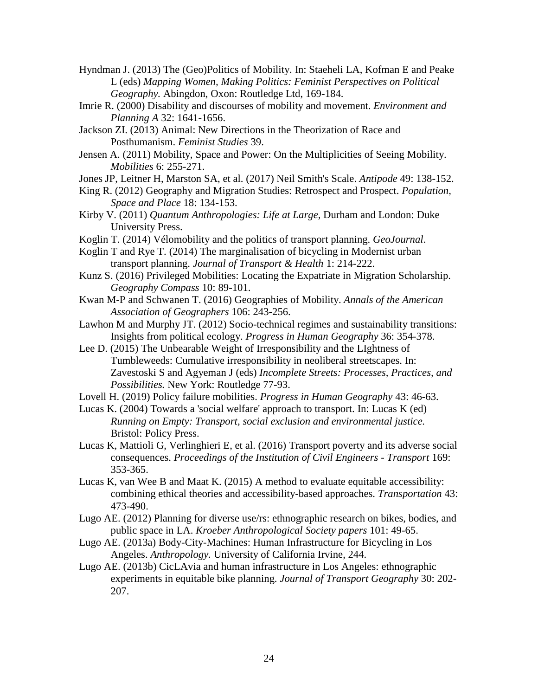- Hyndman J. (2013) The (Geo)Politics of Mobility. In: Staeheli LA, Kofman E and Peake L (eds) *Mapping Women, Making Politics: Feminist Perspectives on Political Geography.* Abingdon, Oxon: Routledge Ltd, 169-184.
- Imrie R. (2000) Disability and discourses of mobility and movement. *Environment and Planning A* 32: 1641-1656.
- Jackson ZI. (2013) Animal: New Directions in the Theorization of Race and Posthumanism. *Feminist Studies* 39.
- Jensen A. (2011) Mobility, Space and Power: On the Multiplicities of Seeing Mobility. *Mobilities* 6: 255-271.
- Jones JP, Leitner H, Marston SA, et al. (2017) Neil Smith's Scale. *Antipode* 49: 138-152.
- King R. (2012) Geography and Migration Studies: Retrospect and Prospect. *Population, Space and Place* 18: 134-153.
- Kirby V. (2011) *Quantum Anthropologies: Life at Large,* Durham and London: Duke University Press.
- Koglin T. (2014) Vélomobility and the politics of transport planning. *GeoJournal*.
- Koglin T and Rye T. (2014) The marginalisation of bicycling in Modernist urban transport planning. *Journal of Transport & Health* 1: 214-222.
- Kunz S. (2016) Privileged Mobilities: Locating the Expatriate in Migration Scholarship. *Geography Compass* 10: 89-101.
- Kwan M-P and Schwanen T. (2016) Geographies of Mobility. *Annals of the American Association of Geographers* 106: 243-256.
- Lawhon M and Murphy JT. (2012) Socio-technical regimes and sustainability transitions: Insights from political ecology. *Progress in Human Geography* 36: 354-378.
- Lee D. (2015) The Unbearable Weight of Irresponsibility and the LIghtness of Tumbleweeds: Cumulative irresponsibility in neoliberal streetscapes. In: Zavestoski S and Agyeman J (eds) *Incomplete Streets: Processes, Practices, and Possibilities.* New York: Routledge 77-93.

Lovell H. (2019) Policy failure mobilities. *Progress in Human Geography* 43: 46-63.

- Lucas K. (2004) Towards a 'social welfare' approach to transport. In: Lucas K (ed) *Running on Empty: Transport, social exclusion and environmental justice.* Bristol: Policy Press.
- Lucas K, Mattioli G, Verlinghieri E, et al. (2016) Transport poverty and its adverse social consequences. *Proceedings of the Institution of Civil Engineers - Transport* 169: 353-365.
- Lucas K, van Wee B and Maat K. (2015) A method to evaluate equitable accessibility: combining ethical theories and accessibility-based approaches. *Transportation* 43: 473-490.
- Lugo AE. (2012) Planning for diverse use/rs: ethnographic research on bikes, bodies, and public space in LA. *Kroeber Anthropological Society papers* 101: 49-65.
- Lugo AE. (2013a) Body-City-Machines: Human Infrastructure for Bicycling in Los Angeles. *Anthropology.* University of California Irvine, 244.
- Lugo AE. (2013b) CicLAvia and human infrastructure in Los Angeles: ethnographic experiments in equitable bike planning. *Journal of Transport Geography* 30: 202- 207.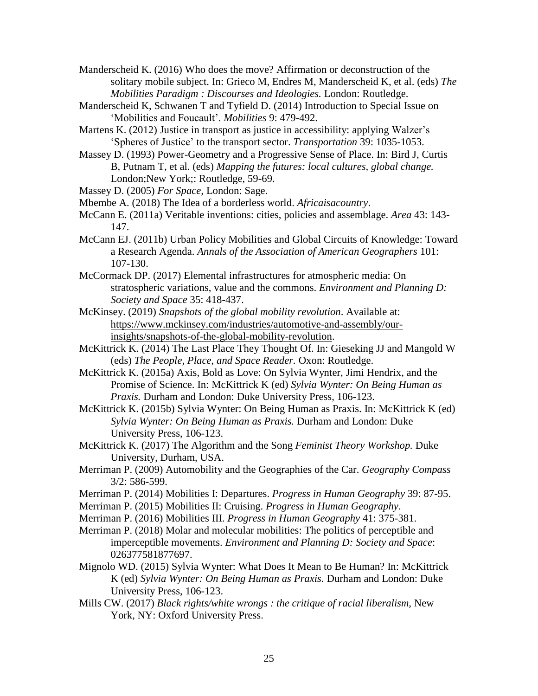Manderscheid K. (2016) Who does the move? Affirmation or deconstruction of the solitary mobile subject. In: Grieco M, Endres M, Manderscheid K, et al. (eds) *The Mobilities Paradigm : Discourses and Ideologies.* London: Routledge.

Manderscheid K, Schwanen T and Tyfield D. (2014) Introduction to Special Issue on 'Mobilities and Foucault'. *Mobilities* 9: 479-492.

Martens K. (2012) Justice in transport as justice in accessibility: applying Walzer's 'Spheres of Justice' to the transport sector. *Transportation* 39: 1035-1053.

- Massey D. (1993) Power-Geometry and a Progressive Sense of Place. In: Bird J, Curtis B, Putnam T, et al. (eds) *Mapping the futures: local cultures, global change.* London;New York;: Routledge, 59-69.
- Massey D. (2005) *For Space,* London: Sage.
- Mbembe A. (2018) The Idea of a borderless world. *Africaisacountry*.

McCann E. (2011a) Veritable inventions: cities, policies and assemblage. *Area* 43: 143- 147.

- McCann EJ. (2011b) Urban Policy Mobilities and Global Circuits of Knowledge: Toward a Research Agenda. *Annals of the Association of American Geographers* 101: 107-130.
- McCormack DP. (2017) Elemental infrastructures for atmospheric media: On stratospheric variations, value and the commons. *Environment and Planning D: Society and Space* 35: 418-437.
- McKinsey. (2019) *Snapshots of the global mobility revolution*. Available at: [https://www.mckinsey.com/industries/automotive-and-assembly/our](https://www.mckinsey.com/industries/automotive-and-assembly/our-insights/snapshots-of-the-global-mobility-revolution)[insights/snapshots-of-the-global-mobility-revolution.](https://www.mckinsey.com/industries/automotive-and-assembly/our-insights/snapshots-of-the-global-mobility-revolution)
- McKittrick K. (2014) The Last Place They Thought Of. In: Gieseking JJ and Mangold W (eds) *The People, Place, and Space Reader.* Oxon: Routledge.
- McKittrick K. (2015a) Axis, Bold as Love: On Sylvia Wynter, Jimi Hendrix, and the Promise of Science. In: McKittrick K (ed) *Sylvia Wynter: On Being Human as Praxis.* Durham and London: Duke University Press, 106-123.
- McKittrick K. (2015b) Sylvia Wynter: On Being Human as Praxis. In: McKittrick K (ed) *Sylvia Wynter: On Being Human as Praxis.* Durham and London: Duke University Press, 106-123.
- McKittrick K. (2017) The Algorithm and the Song *Feminist Theory Workshop.* Duke University, Durham, USA.
- Merriman P. (2009) Automobility and the Geographies of the Car. *Geography Compass* 3/2: 586-599.
- Merriman P. (2014) Mobilities I: Departures. *Progress in Human Geography* 39: 87-95.
- Merriman P. (2015) Mobilities II: Cruising. *Progress in Human Geography*.
- Merriman P. (2016) Mobilities III. *Progress in Human Geography* 41: 375-381.
- Merriman P. (2018) Molar and molecular mobilities: The politics of perceptible and imperceptible movements. *Environment and Planning D: Society and Space*: 026377581877697.
- Mignolo WD. (2015) Sylvia Wynter: What Does It Mean to Be Human? In: McKittrick K (ed) *Sylvia Wynter: On Being Human as Praxis.* Durham and London: Duke University Press, 106-123.
- Mills CW. (2017) *Black rights/white wrongs : the critique of racial liberalism,* New York, NY: Oxford University Press.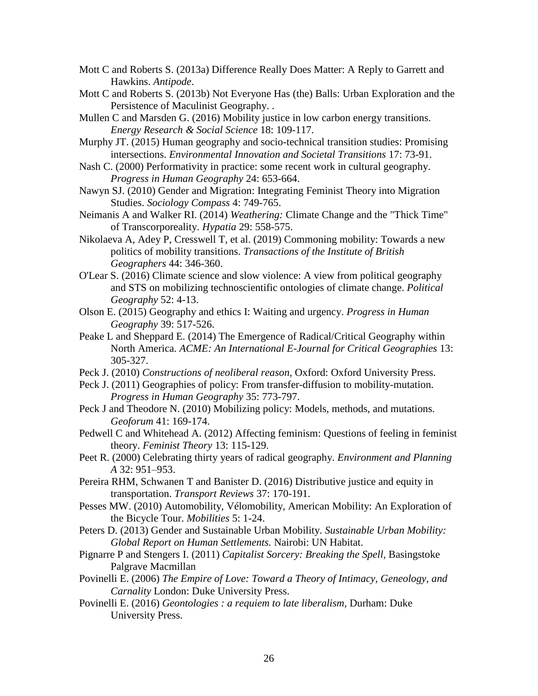- Mott C and Roberts S. (2013a) Difference Really Does Matter: A Reply to Garrett and Hawkins. *Antipode*.
- Mott C and Roberts S. (2013b) Not Everyone Has (the) Balls: Urban Exploration and the Persistence of Maculinist Geography. .
- Mullen C and Marsden G. (2016) Mobility justice in low carbon energy transitions. *Energy Research & Social Science* 18: 109-117.
- Murphy JT. (2015) Human geography and socio-technical transition studies: Promising intersections. *Environmental Innovation and Societal Transitions* 17: 73-91.
- Nash C. (2000) Performativity in practice: some recent work in cultural geography. *Progress in Human Geography* 24: 653-664.
- Nawyn SJ. (2010) Gender and Migration: Integrating Feminist Theory into Migration Studies. *Sociology Compass* 4: 749-765.
- Neimanis A and Walker RI. (2014) *Weathering:* Climate Change and the "Thick Time" of Transcorporeality. *Hypatia* 29: 558-575.
- Nikolaeva A, Adey P, Cresswell T, et al. (2019) Commoning mobility: Towards a new politics of mobility transitions. *Transactions of the Institute of British Geographers* 44: 346-360.
- O'Lear S. (2016) Climate science and slow violence: A view from political geography and STS on mobilizing technoscientific ontologies of climate change. *Political Geography* 52: 4-13.
- Olson E. (2015) Geography and ethics I: Waiting and urgency. *Progress in Human Geography* 39: 517-526.
- Peake L and Sheppard E. (2014) The Emergence of Radical/Critical Geography within North America. *ACME: An International E-Journal for Critical Geographies* 13: 305-327.
- Peck J. (2010) *Constructions of neoliberal reason,* Oxford: Oxford University Press.
- Peck J. (2011) Geographies of policy: From transfer-diffusion to mobility-mutation. *Progress in Human Geography* 35: 773-797.
- Peck J and Theodore N. (2010) Mobilizing policy: Models, methods, and mutations. *Geoforum* 41: 169-174.
- Pedwell C and Whitehead A. (2012) Affecting feminism: Questions of feeling in feminist theory. *Feminist Theory* 13: 115-129.
- Peet R. (2000) Celebrating thirty years of radical geography. *Environment and Planning A* 32: 951–953.
- Pereira RHM, Schwanen T and Banister D. (2016) Distributive justice and equity in transportation. *Transport Reviews* 37: 170-191.
- Pesses MW. (2010) Automobility, Vélomobility, American Mobility: An Exploration of the Bicycle Tour. *Mobilities* 5: 1-24.
- Peters D. (2013) Gender and Sustainable Urban Mobility. *Sustainable Urban Mobility: Global Report on Human Settlements.* Nairobi: UN Habitat.
- Pignarre P and Stengers I. (2011) *Capitalist Sorcery: Breaking the Spell,* Basingstoke Palgrave Macmillan
- Povinelli E. (2006) *The Empire of Love: Toward a Theory of Intimacy, Geneology, and Carnality* London: Duke University Press.
- Povinelli E. (2016) *Geontologies : a requiem to late liberalism,* Durham: Duke University Press.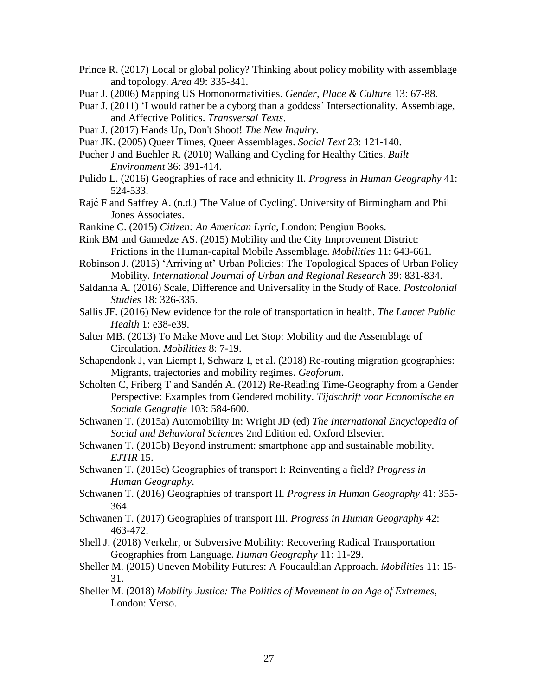- Prince R. (2017) Local or global policy? Thinking about policy mobility with assemblage and topology. *Area* 49: 335-341.
- Puar J. (2006) Mapping US Homonormativities. *Gender, Place & Culture* 13: 67-88.
- Puar J. (2011) 'I would rather be a cyborg than a goddess' Intersectionality, Assemblage, and Affective Politics. *Transversal Texts*.
- Puar J. (2017) Hands Up, Don't Shoot! *The New Inquiry.*
- Puar JK. (2005) Queer Times, Queer Assemblages. *Social Text* 23: 121-140.
- Pucher J and Buehler R. (2010) Walking and Cycling for Healthy Cities. *Built Environment* 36: 391-414.
- Pulido L. (2016) Geographies of race and ethnicity II. *Progress in Human Geography* 41: 524-533.
- Rajé F and Saffrey A. (n.d.) 'The Value of Cycling'. University of Birmingham and Phil Jones Associates.
- Rankine C. (2015) *Citizen: An American Lyric,* London: Pengiun Books.
- Rink BM and Gamedze AS. (2015) Mobility and the City Improvement District: Frictions in the Human-capital Mobile Assemblage. *Mobilities* 11: 643-661.
- Robinson J. (2015) 'Arriving at' Urban Policies: The Topological Spaces of Urban Policy Mobility. *International Journal of Urban and Regional Research* 39: 831-834.
- Saldanha A. (2016) Scale, Difference and Universality in the Study of Race. *Postcolonial Studies* 18: 326-335.
- Sallis JF. (2016) New evidence for the role of transportation in health. *The Lancet Public Health* 1: e38-e39.
- Salter MB. (2013) To Make Move and Let Stop: Mobility and the Assemblage of Circulation. *Mobilities* 8: 7-19.
- Schapendonk J, van Liempt I, Schwarz I, et al. (2018) Re-routing migration geographies: Migrants, trajectories and mobility regimes. *Geoforum*.
- Scholten C, Friberg T and Sandén A. (2012) Re-Reading Time-Geography from a Gender Perspective: Examples from Gendered mobility. *Tijdschrift voor Economische en Sociale Geografie* 103: 584-600.
- Schwanen T. (2015a) Automobility In: Wright JD (ed) *The International Encyclopedia of Social and Behavioral Sciences* 2nd Edition ed. Oxford Elsevier.
- Schwanen T. (2015b) Beyond instrument: smartphone app and sustainable mobility. *EJTIR* 15.
- Schwanen T. (2015c) Geographies of transport I: Reinventing a field? *Progress in Human Geography*.
- Schwanen T. (2016) Geographies of transport II. *Progress in Human Geography* 41: 355- 364.
- Schwanen T. (2017) Geographies of transport III. *Progress in Human Geography* 42: 463-472.
- Shell J. (2018) Verkehr, or Subversive Mobility: Recovering Radical Transportation Geographies from Language. *Human Geography* 11: 11-29.
- Sheller M. (2015) Uneven Mobility Futures: A Foucauldian Approach. *Mobilities* 11: 15- 31.
- Sheller M. (2018) *Mobility Justice: The Politics of Movement in an Age of Extremes,* London: Verso.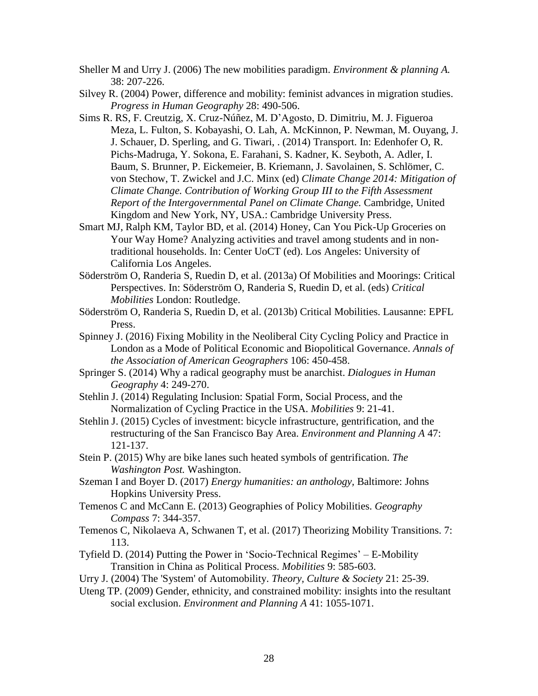- Sheller M and Urry J. (2006) The new mobilities paradigm. *Environment & planning A.* 38: 207-226.
- Silvey R. (2004) Power, difference and mobility: feminist advances in migration studies. *Progress in Human Geography* 28: 490-506.
- Sims R. RS, F. Creutzig, X. Cruz-Núñez, M. D'Agosto, D. Dimitriu, M. J. Figueroa Meza, L. Fulton, S. Kobayashi, O. Lah, A. McKinnon, P. Newman, M. Ouyang, J. J. Schauer, D. Sperling, and G. Tiwari, . (2014) Transport. In: Edenhofer O, R. Pichs-Madruga, Y. Sokona, E. Farahani, S. Kadner, K. Seyboth, A. Adler, I. Baum, S. Brunner, P. Eickemeier, B. Kriemann, J. Savolainen, S. Schlömer, C. von Stechow, T. Zwickel and J.C. Minx (ed) *Climate Change 2014: Mitigation of Climate Change. Contribution of Working Group III to the Fifth Assessment Report of the Intergovernmental Panel on Climate Change.* Cambridge, United Kingdom and New York, NY, USA.: Cambridge University Press.
- Smart MJ, Ralph KM, Taylor BD, et al. (2014) Honey, Can You Pick-Up Groceries on Your Way Home? Analyzing activities and travel among students and in nontraditional households. In: Center UoCT (ed). Los Angeles: University of California Los Angeles.
- Söderström O, Randeria S, Ruedin D, et al. (2013a) Of Mobilities and Moorings: Critical Perspectives. In: Söderström O, Randeria S, Ruedin D, et al. (eds) *Critical Mobilities* London: Routledge.
- Söderström O, Randeria S, Ruedin D, et al. (2013b) Critical Mobilities. Lausanne: EPFL Press.
- Spinney J. (2016) Fixing Mobility in the Neoliberal City Cycling Policy and Practice in London as a Mode of Political Economic and Biopolitical Governance. *Annals of the Association of American Geographers* 106: 450-458.
- Springer S. (2014) Why a radical geography must be anarchist. *Dialogues in Human Geography* 4: 249-270.
- Stehlin J. (2014) Regulating Inclusion: Spatial Form, Social Process, and the Normalization of Cycling Practice in the USA. *Mobilities* 9: 21-41.
- Stehlin J. (2015) Cycles of investment: bicycle infrastructure, gentrification, and the restructuring of the San Francisco Bay Area. *Environment and Planning A* 47: 121-137.
- Stein P. (2015) Why are bike lanes such heated symbols of gentrification. *The Washington Post.* Washington.
- Szeman I and Boyer D. (2017) *Energy humanities: an anthology,* Baltimore: Johns Hopkins University Press.
- Temenos C and McCann E. (2013) Geographies of Policy Mobilities. *Geography Compass* 7: 344-357.
- Temenos C, Nikolaeva A, Schwanen T, et al. (2017) Theorizing Mobility Transitions. 7: 113.
- Tyfield D. (2014) Putting the Power in 'Socio-Technical Regimes' E-Mobility Transition in China as Political Process. *Mobilities* 9: 585-603.
- Urry J. (2004) The 'System' of Automobility. *Theory, Culture & Society* 21: 25-39.
- Uteng TP. (2009) Gender, ethnicity, and constrained mobility: insights into the resultant social exclusion. *Environment and Planning A* 41: 1055-1071.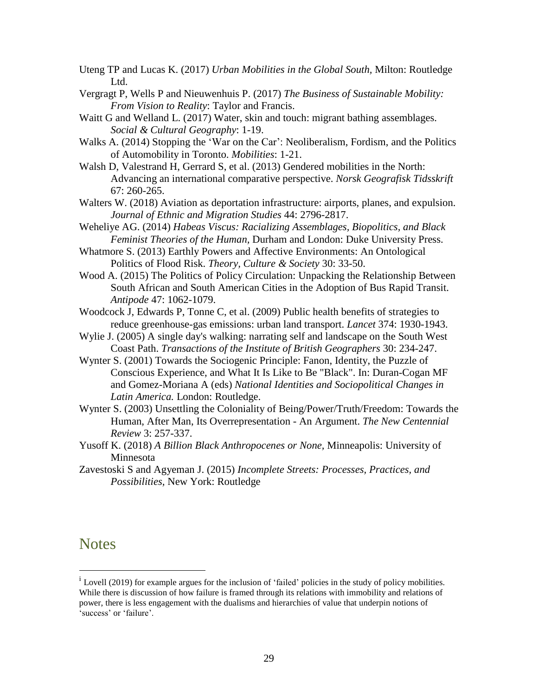- Uteng TP and Lucas K. (2017) *Urban Mobilities in the Global South,* Milton: Routledge Ltd.
- Vergragt P, Wells P and Nieuwenhuis P. (2017) *The Business of Sustainable Mobility: From Vision to Reality*: Taylor and Francis.
- Waitt G and Welland L. (2017) Water, skin and touch: migrant bathing assemblages. *Social & Cultural Geography*: 1-19.
- Walks A. (2014) Stopping the 'War on the Car': Neoliberalism, Fordism, and the Politics of Automobility in Toronto. *Mobilities*: 1-21.
- Walsh D, Valestrand H, Gerrard S, et al. (2013) Gendered mobilities in the North: Advancing an international comparative perspective. *Norsk Geografisk Tidsskrift* 67: 260-265.
- Walters W. (2018) Aviation as deportation infrastructure: airports, planes, and expulsion. *Journal of Ethnic and Migration Studies* 44: 2796-2817.
- Weheliye AG. (2014) *Habeas Viscus: Racializing Assemblages, Biopolitics, and Black Feminist Theories of the Human,* Durham and London: Duke University Press.
- Whatmore S. (2013) Earthly Powers and Affective Environments: An Ontological Politics of Flood Risk. *Theory, Culture & Society* 30: 33-50.
- Wood A. (2015) The Politics of Policy Circulation: Unpacking the Relationship Between South African and South American Cities in the Adoption of Bus Rapid Transit. *Antipode* 47: 1062-1079.
- Woodcock J, Edwards P, Tonne C, et al. (2009) Public health benefits of strategies to reduce greenhouse-gas emissions: urban land transport. *Lancet* 374: 1930-1943.
- Wylie J. (2005) A single day's walking: narrating self and landscape on the South West Coast Path. *Transactions of the Institute of British Geographers* 30: 234-247.
- Wynter S. (2001) Towards the Sociogenic Principle: Fanon, Identity, the Puzzle of Conscious Experience, and What It Is Like to Be "Black". In: Duran-Cogan MF and Gomez-Moriana A (eds) *National Identities and Sociopolitical Changes in Latin America.* London: Routledge.
- Wynter S. (2003) Unsettling the Coloniality of Being/Power/Truth/Freedom: Towards the Human, After Man, Its Overrepresentation - An Argument. *The New Centennial Review* 3: 257-337.
- Yusoff K. (2018) *A Billion Black Anthropocenes or None,* Minneapolis: University of Minnesota
- Zavestoski S and Agyeman J. (2015) *Incomplete Streets: Processes, Practices, and Possibilities,* New York: Routledge

#### **Notes**

 $\overline{a}$ 

<sup>&</sup>lt;sup>i</sup> Lovell (2019) for example argues for the inclusion of 'failed' policies in the study of policy mobilities. While there is discussion of how failure is framed through its relations with immobility and relations of power, there is less engagement with the dualisms and hierarchies of value that underpin notions of 'success' or 'failure'.